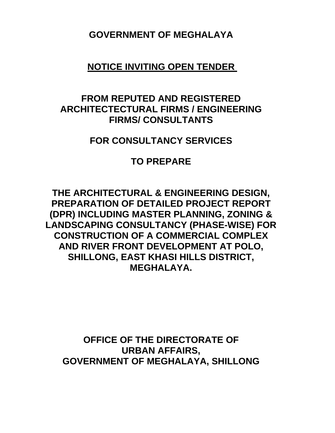**GOVERNMENT OF MEGHALAYA** 

**NOTICE INVITING OPEN TENDER** 

## **FROM REPUTED AND REGISTERED ARCHITECTECTURAL FIRMS / ENGINEERING FIRMS/ CONSULTANTS**

## **FOR CONSULTANCY SERVICES**

## **TO PREPARE**

**THE ARCHITECTURAL & ENGINEERING DESIGN, PREPARATION OF DETAILED PROJECT REPORT (DPR) INCLUDING MASTER PLANNING, ZONING & LANDSCAPING CONSULTANCY (PHASE-WISE) FOR CONSTRUCTION OF A COMMERCIAL COMPLEX AND RIVER FRONT DEVELOPMENT AT POLO, SHILLONG, EAST KHASI HILLS DISTRICT, MEGHALAYA.** 

**OFFICE OF THE DIRECTORATE OF URBAN AFFAIRS, GOVERNMENT OF MEGHALAYA, SHILLONG**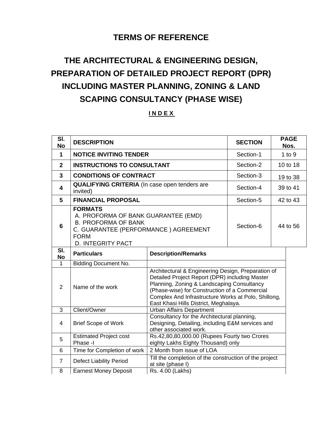### **TERMS OF REFERENCE**

## **THE ARCHITECTURAL & ENGINEERING DESIGN, PREPARATION OF DETAILED PROJECT REPORT (DPR) INCLUDING MASTER PLANNING, ZONING & LAND SCAPING CONSULTANCY (PHASE WISE)**

#### **I N D E X**

| SI.<br><b>No</b> | <b>DESCRIPTION</b>                                                                                                                                                     | <b>SECTION</b>                                                                                                                                                                                                                                                                                      | <b>PAGE</b><br>Nos. |          |  |
|------------------|------------------------------------------------------------------------------------------------------------------------------------------------------------------------|-----------------------------------------------------------------------------------------------------------------------------------------------------------------------------------------------------------------------------------------------------------------------------------------------------|---------------------|----------|--|
| 1                | <b>NOTICE INVITING TENDER</b>                                                                                                                                          | Section-1                                                                                                                                                                                                                                                                                           | $1$ to $9$          |          |  |
| $\overline{2}$   | <b>INSTRUCTIONS TO CONSULTANT</b>                                                                                                                                      |                                                                                                                                                                                                                                                                                                     | Section-2           | 10 to 18 |  |
| 3                | <b>CONDITIONS OF CONTRACT</b>                                                                                                                                          |                                                                                                                                                                                                                                                                                                     | Section-3           | 19 to 38 |  |
| 4                | <b>QUALIFYING CRITERIA</b> (In case open tenders are<br>invited)                                                                                                       |                                                                                                                                                                                                                                                                                                     | Section-4           | 39 to 41 |  |
| 5                | <b>FINANCIAL PROPOSAL</b>                                                                                                                                              |                                                                                                                                                                                                                                                                                                     | Section-5           | 42 to 43 |  |
| 6                | <b>FORMATS</b><br>A. PROFORMA OF BANK GUARANTEE (EMD)<br><b>B. PROFORMA OF BANK</b><br>C. GUARANTEE (PERFORMANCE) AGREEMENT<br><b>FORM</b><br><b>D. INTEGRITY PACT</b> |                                                                                                                                                                                                                                                                                                     | Section-6           | 44 to 56 |  |
| SI.<br><b>No</b> | <b>Particulars</b>                                                                                                                                                     | <b>Description/Remarks</b>                                                                                                                                                                                                                                                                          |                     |          |  |
| 1                | Bidding Document No.                                                                                                                                                   |                                                                                                                                                                                                                                                                                                     |                     |          |  |
| 2                | Name of the work                                                                                                                                                       | Architectural & Engineering Design, Preparation of<br>Detailed Project Report (DPR) including Master<br>Planning, Zoning & Landscaping Consultancy<br>(Phase-wise) for Construction of a Commercial<br>Complex And Infrastructure Works at Polo, Shillong,<br>East Khasi Hills District, Meghalaya. |                     |          |  |
| 3                | Client/Owner                                                                                                                                                           | <b>Urban Affairs Department</b>                                                                                                                                                                                                                                                                     |                     |          |  |
| 4                | <b>Brief Scope of Work</b>                                                                                                                                             | Consultancy for the Architectural planning,<br>Designing, Detailing, including E&M services and<br>other associated work.                                                                                                                                                                           |                     |          |  |
| 5                | <b>Estimated Project cost</b><br>Phase -I                                                                                                                              | Rs.42,80,80,000.00 (Rupees Fourty two Crores<br>eighty Lakhs Eighty Thousand) only                                                                                                                                                                                                                  |                     |          |  |
| 6                | Time for Completion of work                                                                                                                                            | 2 Month from issue of LOA                                                                                                                                                                                                                                                                           |                     |          |  |
| 7                | <b>Defect Liability Period</b>                                                                                                                                         | Till the completion of the construction of the project<br>at site (phase I)                                                                                                                                                                                                                         |                     |          |  |
| 8                | Rs. 4.00 (Lakhs)<br><b>Earnest Money Deposit</b>                                                                                                                       |                                                                                                                                                                                                                                                                                                     |                     |          |  |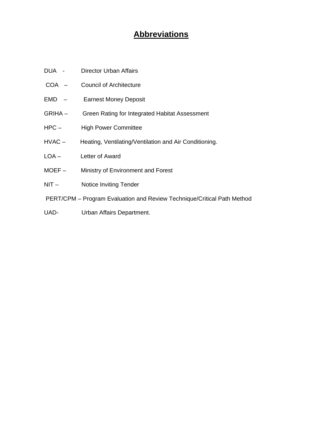## **Abbreviations**

- DUA Director Urban Affairs
- COA Council of Architecture
- EMD Earnest Money Deposit
- GRIHA Green Rating for Integrated Habitat Assessment
- HPC High Power Committee
- HVAC Heating, Ventilating/Ventilation and Air Conditioning.
- LOA Letter of Award
- MOEF Ministry of Environment and Forest
- NIT Notice Inviting Tender
- PERT/CPM Program Evaluation and Review Technique/Critical Path Method
- UAD- Urban Affairs Department.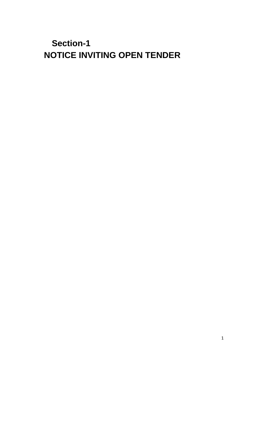**Section-1 NOTICE INVITING OPEN TENDER**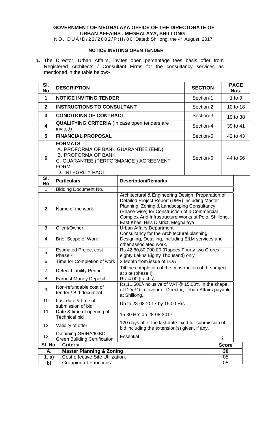#### **GOVERNMENT OF MEGHALAYA OFFICE OF THE DIRECTORATE OF URBAN AFFAIRS , MEGHALAYA, SHILLONG .**

NO. DUA/D/22/2002/PtII/86 Dated: Shillong, the 4<sup>th</sup> August, 2017.

#### **NOTICE INVITING OPEN TENDER**

**1.** The Director, Urban Affairs, invites open percentage fees basis offer from Registered Architects / Consultant Firms for the consultancy services as mentioned in the table below:-

| SI.<br><b>No</b> | <b>DESCRIPTION</b>                                                                                                                                                           |                                                                                                                                                                                                                                                                                                     | <b>SECTION</b> | <b>PAGE</b><br>Nos. |  |
|------------------|------------------------------------------------------------------------------------------------------------------------------------------------------------------------------|-----------------------------------------------------------------------------------------------------------------------------------------------------------------------------------------------------------------------------------------------------------------------------------------------------|----------------|---------------------|--|
| 1                | <b>NOTICE INVITING TENDER</b>                                                                                                                                                |                                                                                                                                                                                                                                                                                                     | Section-1      | $1$ to $9$          |  |
| $\mathbf{2}$     | <b>INSTRUCTIONS TO CONSULTANT</b>                                                                                                                                            |                                                                                                                                                                                                                                                                                                     | Section-2      | 10 to 18            |  |
| 3                | <b>CONDITIONS OF CONTRACT</b>                                                                                                                                                |                                                                                                                                                                                                                                                                                                     | Section-3      | 19 to 38            |  |
| 4                | <b>QUALIFYING CRITERIA</b> (In case open tenders are<br>invited)                                                                                                             |                                                                                                                                                                                                                                                                                                     | Section-4      | 39 to 41            |  |
| 5                | <b>FINANCIAL PROPOSAL</b>                                                                                                                                                    |                                                                                                                                                                                                                                                                                                     | Section-5      | 42 to 43            |  |
| 6                | <b>FORMATS</b><br>A. PROFORMA OF BANK GUARANTEE (EMD)<br><b>B. PROFORMA OF BANK</b><br>C. GUARANTEE (PERFORMANCE) AGREEMENT<br><b>FORM</b><br><b>D. INTEGRITY PACT</b>       |                                                                                                                                                                                                                                                                                                     | Section-6      | 44 to 56            |  |
| SI.<br>No        | <b>Particulars</b>                                                                                                                                                           | <b>Description/Remarks</b>                                                                                                                                                                                                                                                                          |                |                     |  |
| $\mathbf{1}$     | <b>Bidding Document No.</b>                                                                                                                                                  |                                                                                                                                                                                                                                                                                                     |                |                     |  |
| $\overline{2}$   | Name of the work                                                                                                                                                             | Architectural & Engineering Design, Preparation of<br>Detailed Project Report (DPR) including Master<br>Planning, Zoning & Landscaping Consultancy<br>(Phase-wise) for Construction of a Commercial<br>Complex And Infrastructure Works at Polo, Shillong,<br>East Khasi Hills District, Meghalaya. |                |                     |  |
| 3                | Client/Owner                                                                                                                                                                 | <b>Urban Affairs Department</b>                                                                                                                                                                                                                                                                     |                |                     |  |
| 4                | Consultancy for the Architectural planning,<br>Designing, Detailing, including E&M services and<br><b>Brief Scope of Work</b><br>other associated work.                      |                                                                                                                                                                                                                                                                                                     |                |                     |  |
| 5                | <b>Estimated Project cost</b><br>Phase -I                                                                                                                                    | Rs.42,80,80,000.00 (Rupees Fourty two Crores<br>eighty Lakhs Eighty Thousand) only                                                                                                                                                                                                                  |                |                     |  |
| 6                | Time for Completion of work                                                                                                                                                  | 2 Month from issue of LOA                                                                                                                                                                                                                                                                           |                |                     |  |
| $\overline{7}$   | <b>Defect Liability Period</b>                                                                                                                                               | Till the completion of the construction of the project<br>at site (phase I)                                                                                                                                                                                                                         |                |                     |  |
| 8                | <b>Earnest Money Deposit</b>                                                                                                                                                 | Rs. 4.00 (Lakhs)                                                                                                                                                                                                                                                                                    |                |                     |  |
| 9                | Rs.11,500/-inclusive of VAT@ 15.00% in the shape<br>Non-refundable cost of<br>of DD/PO in favour of Director, Urban Affairs payable<br>tender / Bid document<br>at Shillong. |                                                                                                                                                                                                                                                                                                     |                |                     |  |
| 10               | Last date & time of<br>submission of bid                                                                                                                                     | Up to 28-08-2017 by 15.00 Hrs                                                                                                                                                                                                                                                                       |                |                     |  |
| 11               | Date & time of opening of<br><b>Technical bid</b>                                                                                                                            | 15.30 Hrs on 28-08-2017                                                                                                                                                                                                                                                                             |                |                     |  |
| 12               | Validity of offer                                                                                                                                                            | 120 days after the last date fixed for submission of<br>bid including the extension(s) given, if any.                                                                                                                                                                                               |                |                     |  |
| 13               | <b>Obtaining GRIHA/IGBC</b><br><b>Green Building Certification</b>                                                                                                           | <b>Essential</b>                                                                                                                                                                                                                                                                                    | $\overline{2}$ |                     |  |
| SI. No.          | <b>Criteria</b><br><b>Score</b>                                                                                                                                              |                                                                                                                                                                                                                                                                                                     |                |                     |  |
| Α.               | <b>Master Planning &amp; Zoning</b><br>30                                                                                                                                    |                                                                                                                                                                                                                                                                                                     |                |                     |  |
| 1. a)            | Cost effective Site Utilization.<br>05                                                                                                                                       |                                                                                                                                                                                                                                                                                                     |                |                     |  |
| b)               | <b>Grouping of Functions</b>                                                                                                                                                 |                                                                                                                                                                                                                                                                                                     |                | 05                  |  |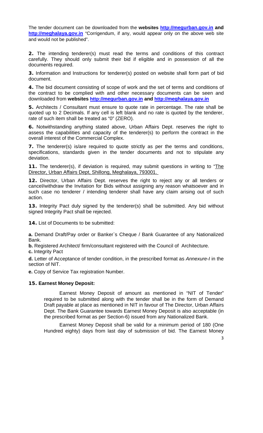The tender document can be downloaded from the **websites http://megurban.gov.in and http://meghalaya.gov.in** "Corrigendum, if any, would appear only on the above web site and would not be published".

**2.** The intending tenderer(s) must read the terms and conditions of this contract carefully. They should only submit their bid if eligible and in possession of all the documents required.

**3.** Information and Instructions for tenderer(s) posted on website shall form part of bid document.

**4.** The bid document consisting of scope of work and the set of terms and conditions of the contract to be complied with and other necessary documents can be seen and downloaded from **websites http://megurban.gov.in and http://meghalaya.gov.in** 

**5.** Architects / Consultant must ensure to quote rate in percentage. The rate shall be quoted up to 2 Decimals. If any cell is left blank and no rate is quoted by the tenderer, rate of such item shall be treated as "0" (ZERO).

**6.** Notwithstanding anything stated above, Urban Affairs Dept. reserves the right to assess the capabilities and capacity of the tenderer(s) to perform the contract in the overall interest of the Commercial Complex.

**7.** The tenderer(s) is/are required to quote strictly as per the terms and conditions, specifications, standards given in the tender documents and not to stipulate any deviation.

**11.** The tenderer(s), if deviation is required, may submit questions in writing to "The Director, Urban Affairs Dept, Shillong, Meghalaya, 793001.

**12.** Director, Urban Affairs Dept. reserves the right to reject any or all tenders or cancel/withdraw the Invitation for Bids without assigning any reason whatsoever and in such case no tenderer / intending tenderer shall have any claim arising out of such action.

**13.** Integrity Pact duly signed by the tenderer(s) shall be submitted. Any bid without signed Integrity Pact shall be rejected.

**14.** List of Documents to be submitted:

**a.** Demand Draft/Pay order or Banker`s Cheque / Bank Guarantee of any Nationalized Bank.

**b.** Registered Architect/ firm/consultant registered with the Council of Architecture.

**c.** Integrity Pact

**d.** Letter of Acceptance of tender condition, in the prescribed format as *Annexure-I* in the section of NIT.

**e.** Copy of Service Tax registration Number.

#### **15. Earnest Money Deposit:**

Earnest Money Deposit of amount as mentioned in "NIT of Tender" required to be submitted along with the tender shall be in the form of Demand Draft payable at place as mentioned in NIT in favour of The Director, Urban Affairs Dept. The Bank Guarantee towards Earnest Money Deposit is also acceptable (in the prescribed format as per Section-6) issued from any Nationalized Bank.

Earnest Money Deposit shall be valid for a minimum period of 180 (One Hundred eighty) days from last day of submission of bid. The Earnest Money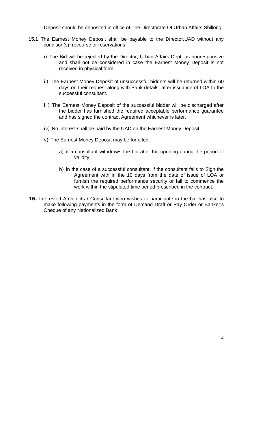Deposit should be deposited in office of The Directorate Of Urban Affairs,Shillong.

- **15.1** The Earnest Money Deposit shall be payable to the Director,UAD without any condition(s), recourse or reservations.
	- i) The Bid will be rejected by the Director, Urban Affairs Dept. as nonresponsive and shall not be considered in case the Earnest Money Deposit is not received in physical form.
	- ii) The Earnest Money Deposit of unsuccessful bidders will be returned within 60 days on their request along with Bank details, after issuance of LOA to the successful consultant.
	- iii) The Earnest Money Deposit of the successful bidder will be discharged after the bidder has furnished the required acceptable performance guarantee and has signed the contract Agreement whichever is later.
	- iv) No interest shall be paid by the UAD on the Earnest Money Deposit.
	- v) The Earnest Money Deposit may be forfeited:
		- a) if a consultant withdraws the bid after bid opening during the period of validity;
		- b) in the case of a successful consultant; if the consultant fails to Sign the Agreement with in the 10 days from the date of issue of LOA or furnish the required performance security or fail to commence the work within the stipulated time period prescribed in the contract.
- **16.** Interested Architects / Consultant who wishes to participate in the bid has also to make following payments in the form of Demand Draft or Pay Order or Banker's Cheque of any Nationalized Bank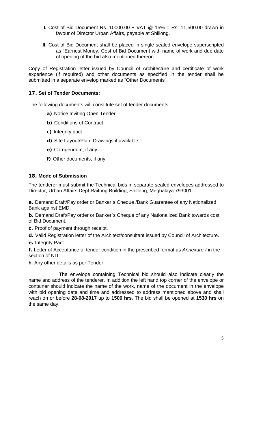- **I.** Cost of Bid Document Rs. 10000.00 + VAT @ 15% = Rs. 11,500.00 drawn in favour of Director Urban Affairs, payable at Shillong.
- **II.** Cost of Bid Document shall be placed in single sealed envelope superscripted as "Earnest Money, Cost of Bid Document with name of work and due date of opening of the bid also mentioned thereon.

Copy of Registration letter issued by Council of Architecture and certificate of work experience (if required) and other documents as specified in the tender shall be submitted in a separate envelop marked as "Other Documents".

#### **17. Set of Tender Documents:**

The following documents will constitute set of tender documents:

- **a)** Notice Inviting Open Tender
- **b)** Conditions of Contract
- **c)** Integrity pact
- **d)** Site Layout/Plan, Drawings if available
- **e)** Corrigendum, if any
- **f)** Other documents, if any

#### **18. Mode of Submission**

The tenderer must submit the Technical bids in separate sealed envelopes addressed to Director, Urban Affairs Dept,Raitong Building, Shillong, Meghalaya 793001.

**a.** Demand Draft/Pay order or Banker`s Cheque /Bank Guarantee of any Nationalized Bank against EMD.

**b.** Demand Draft/Pay order or Banker`s Cheque of any Nationalized Bank towards cost of Bid Document.

- **c.** Proof of payment through receipt.
- **d.** Valid Registration letter of the Architect/consultant issued by Council of Architecture.
- **e.** Integrity Pact.

**f.** Letter of Acceptance of tender condition in the prescribed format as *Annexure-I* in the section of NIT.

**h**. Any other details as per Tender.

The envelope containing Technical bid should also indicate clearly the name and address of the tenderer. In addition the left hand top corner of the envelope or container should indicate the name of the work, name of the document in the envelope with bid opening date and time and addressed to address mentioned above and shall reach on or before **28-08-2017** up to **1500 hrs**. The bid shall be opened at **1530 hrs** on the same day.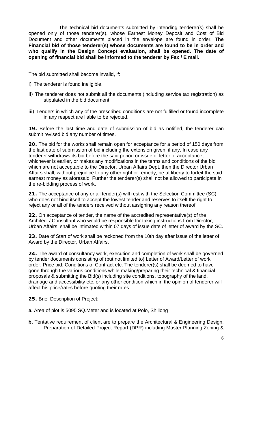The technical bid documents submitted by intending tenderer(s) shall be opened only of those tenderer(s), whose Earnest Money Deposit and Cost of Bid Document and other documents placed in the envelope are found in order. **The Financial bid of those tenderer(s) whose documents are found to be in order and who qualify in the Design Concept evaluation, shall be opened. The date of opening of financial bid shall be informed to the tenderer by Fax / E mail.** 

The bid submitted shall become invalid, if:

- i) The tenderer is found ineligible.
- ii) The tenderer does not submit all the documents (including service tax registration) as stipulated in the bid document.
- iii) Tenders in which any of the prescribed conditions are not fulfilled or found incomplete in any respect are liable to be rejected.

**19.** Before the last time and date of submission of bid as notified, the tenderer can submit revised bid any number of times.

**20.** The bid for the works shall remain open for acceptance for a period of 150 days from the last date of submission of bid including the extension given, if any. In case any tenderer withdraws its bid before the said period or issue of letter of acceptance, whichever is earlier, or makes any modifications in the terms and conditions of the bid which are not acceptable to the Director, Urban Affairs Dept, then the Director,Urban Affairs shall, without prejudice to any other right or remedy, be at liberty to forfeit the said earnest money as aforesaid. Further the tenderer(s) shall not be allowed to participate in the re-bidding process of work.

**21.** The acceptance of any or all tender(s) will rest with the Selection Committee (SC) who does not bind itself to accept the lowest tender and reserves to itself the right to reject any or all of the tenders received without assigning any reason thereof.

**22.** On acceptance of tender, the name of the accredited representative(s) of the Architect / Consultant who would be responsible for taking instructions from Director, Urban Affairs, shall be intimated within 07 days of issue date of letter of award by the SC.

**23.** Date of Start of work shall be reckoned from the 10th day after issue of the letter of Award by the Director, Urban Affairs.

**24.** The award of consultancy work, execution and completion of work shall be governed by tender documents consisting of (but not limited to) Letter of Award/Letter of work order, Price bid, Conditions of Contract etc. The tenderer(s) shall be deemed to have gone through the various conditions while making/preparing their technical & financial proposals & submitting the Bid(s) including site conditions, topography of the land, drainage and accessibility etc. or any other condition which in the opinion of tenderer will affect his price/rates before quoting their rates.

- **25.** Brief Description of Project:
- **a.** Area of plot is 5095 SQ.Meter and is located at Polo, Shillong
- **b.** Tentative requirement of client are to prepare the Architectural & Engineering Design, Preparation of Detailed Project Report (DPR) including Master Planning,Zoning &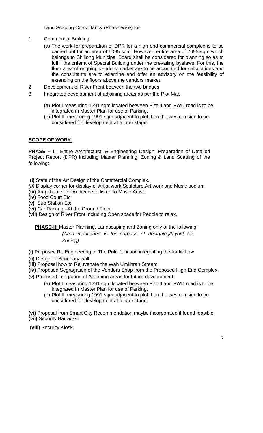Land Scaping Consultancy (Phase-wise) for

- 1 Commercial Building:
	- (a) The work for preparation of DPR for a high end commercial complex is to be carried out for an area of 5095 sqm. However, entire area of 7695 sqm which belongs to Shillong Municipal Board shall be considered for planning so as to fulfill the criteria of Special Building under the prevailing byelaws. For this, the floor area of ongoing vendors market are to be accounted for calculations and the consultants are to examine and offer an advisory on the feasibility of extending on the floors above the vendors market.
- 2 Development of River Front between the two bridges
- 3 Integrated development of adjoining areas as per the Plot Map.
	- (a) Plot I measuring 1291 sqm located between Plot-II and PWD road is to be integrated in Master Plan for use of Parking.
	- (b) Plot III measuring 1991 sqm adjacent to plot II on the western side to be considered for development at a later stage.

#### **SCOPE OF WORK**

**PHASE – I:** Entire Architectural & Engineering Design, Preparation of Detailed Project Report (DPR) including Master Planning, Zoning & Land Scaping of the following:

 **(i)** State of the Art Design of the Commercial Complex.

*(ii)* Display corner for display of Artist work,Sculpture,Art work and Music podium

**(iii)** Ampitheater for Audience to listen to Music Artist.

**(iv)** Food Court Etc

**(v)** Sub Station Etc

**(vi)** Car Parking –At the Ground Floor.

**(vii)** Design of River Front including Open space for People to relax.

**PHASE-II:** Master Planning, Landscaping and Zoning only of the following: *(Area mentioned is for purpose of designing/layout for Zoning)* 

**(i)** Proposed Re Engineering of The Polo Junction integrating the traffic flow

**(ii)** Design of Boundary wall.

**(iii)** Proposal how to Rejuvenate the Wah Umkhrah Stream

**(iv)** Proposed Segragation of the Vendors Shop from the Proposed High End Complex.

**(v)** Proposed integration of Adjoining areas for future development:

- (a) Plot I measuring 1291 sqm located between Plot-II and PWD road is to be integrated in Master Plan for use of Parking.
- (b) Plot III measuring 1991 sqm adjacent to plot II on the western side to be considered for development at a later stage.

**(vi)** Proposal from Smart City Recommendation maybe incorporated if found feasible. **(vii)** Security Barracks .

**(viii)** Security Kiosk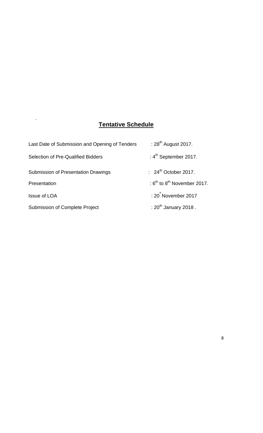## **Tentative Schedule**

.

| Last Date of Submission and Opening of Tenders | : 28 <sup>th</sup> August 2017.       |
|------------------------------------------------|---------------------------------------|
| <b>Selection of Pre-Qualified Bidders</b>      | : $4^{th}$ September 2017.            |
| Submission of Presentation Drawings            | : $24^{\text{th}}$ October 2017.      |
| Presentation                                   | : $6^{th}$ to $8^{th}$ November 2017. |
| <b>Issue of LOA</b>                            | : $20^{\degree}$ November 2017        |
| Submission of Complete Project                 | : $20^{th}$ January 2018.             |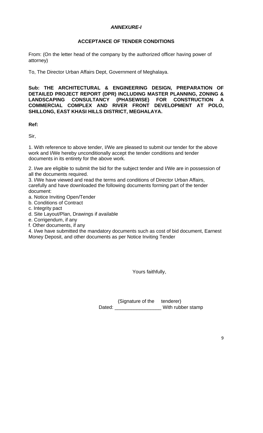#### *ANNEXURE-I*

#### **ACCEPTANCE OF TENDER CONDITIONS**

From: (On the letter head of the company by the authorized officer having power of attorney)

To, The Director Urban Affairs Dept, Government of Meghalaya.

**Sub: THE ARCHITECTURAL & ENGINEERING DESIGN, PREPARATION OF DETAILED PROJECT REPORT (DPR) INCLUDING MASTER PLANNING, ZONING & LANDSCAPING CONSULTANCY (PHASEWISE) FOR CONSTRUCTION A COMMERCIAL COMPLEX AND RIVER FRONT DEVELOPMENT AT POLO, SHILLONG, EAST KHASI HILLS DISTRICT, MEGHALAYA.** 

**Ref:** 

Sir,

1. With reference to above tender, I/We are pleased to submit our tender for the above work and I/We hereby unconditionally accept the tender conditions and tender documents in its entirety for the above work.

2. I/we are eligible to submit the bid for the subject tender and I/We are in possession of all the documents required.

3. I/We have viewed and read the terms and conditions of Director Urban Affairs, carefully and have downloaded the following documents forming part of the tender document:

a. Notice Inviting Open/Tender

b. Conditions of Contract

c. Integrity pact

d. Site Layout/Plan, Drawings if available

e. Corrigendum, if any

f. Other documents, if any

4. I/we have submitted the mandatory documents such as cost of bid document, Earnest Money Deposit, and other documents as per Notice Inviting Tender

Yours faithfully,

 (Signature of the tenderer) Dated: With rubber stamp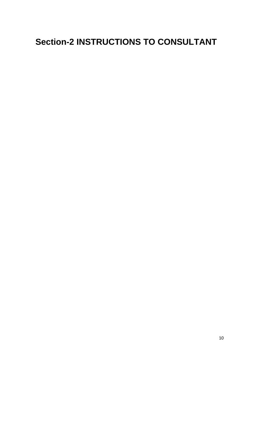# **Section-2 INSTRUCTIONS TO CONSULTANT**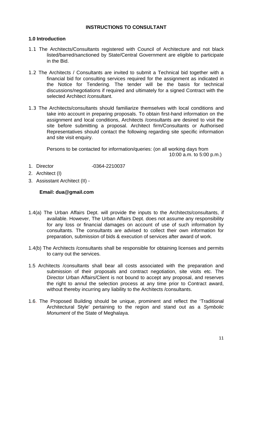#### **INSTRUCTIONS TO CONSULTANT**

#### **1.0 Introduction**

- 1.1 The Architects/Consultants registered with Council of Architecture and not black listed/barred/sanctioned by State/Central Government are eligible to participate in the Bid.
- 1.2 The Architects / Consultants are invited to submit a Technical bid together with a financial bid for consulting services required for the assignment as indicated in the Notice for Tendering. The tender will be the basis for technical discussions/negotiations if required and ultimately for a signed Contract with the selected Architect /consultant.
- 1.3 The Architects/consultants should familiarize themselves with local conditions and take into account in preparing proposals. To obtain first-hand information on the assignment and local conditions, Architects /consultants are desired to visit the site before submitting a proposal. Architect firm/Consultants or Authorised Representatives should contact the following regarding site specific information and site visit enquiry.

Persons to be contacted for information/queries: (on all working days from 10:00 a.m. to 5:00 p.m.)

- 1. Director -0364-2210037
- 2. Architect (I)
- 3. Assisstant Architect (II) -

#### **Email: dua@gmail.com**

- 1.4(a) The Urban Affairs Dept. will provide the inputs to the Architects/consultants, if available. However, The Urban Affairs Dept. does not assume any responsibility for any loss or financial damages on account of use of such information by consultants. The consultants are advised to collect their own information for preparation, submission of bids & execution of services after award of work.
- 1.4(b) The Architects /consultants shall be responsible for obtaining licenses and permits to carry out the services.
- 1.5 Architects /consultants shall bear all costs associated with the preparation and submission of their proposals and contract negotiation, site visits etc. The Director Urban Affairs/Client is not bound to accept any proposal, and reserves the right to annul the selection process at any time prior to Contract award, without thereby incurring any liability to the Architects /consultants.
- 1.6. The Proposed Building should be unique, prominent and reflect the 'Traditional Architectural Style' pertaining to the region and stand out as a *Symbolic Monument* of the State of Meghalaya.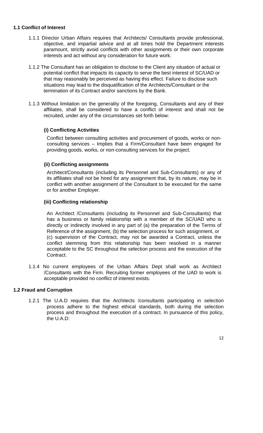#### **1.1 Conflict of Interest**

- 1.1.1 Director Urban Affairs requires that Architects/ Consultants provide professional, objective, and impartial advice and at all times hold the Department interests paramount, strictly avoid conflicts with other assignments or their own corporate interests and act without any consideration for future work.
- 1.1.2 The Consultant has an obligation to disclose to the Client any situation of actual or potential conflict that impacts its capacity to serve the best interest of SC/UAD or that may reasonably be perceived as having this effect. Failure to disclose such situations may lead to the disqualification of the Architects/Consultant or the termination of its Contract and/or sanctions by the Bank.
- 1.1.3 Without limitation on the generality of the foregoing, Consultants and any of their affiliates, shall be considered to have a conflict of interest and shall not be recruited, under any of the circumstances set forth below:

#### **(i) Conflicting Activities**

Conflict between consulting activities and procurement of goods, works or nonconsulting services – Implies that a Firm/Consultant have been engaged for providing goods, works, or non-consulting services for the project.

#### **(ii) Conflicting assignments**

Architect/Consultants (including its Personnel and Sub-Consultants) or any of its affiliates shall not be hired for any assignment that, by its nature, may be in conflict with another assignment of the Consultant to be executed for the same or for another Employer.

#### **(iii) Conflicting relationship**

An Architect /Consultants (including its Personnel and Sub-Consultants) that has a business or family relationship with a member of the SC/UAD who is directly or indirectly involved in any part of (a) the preparation of the Terms of Reference of the assignment, (b) the selection process for such assignment, or (c) supervision of the Contract, may not be awarded a Contract, unless the conflict stemming from this relationship has been resolved in a manner acceptable to the SC throughout the selection process and the execution of the Contract.

1.1.4 No current employees of the Urban Affairs Dept shall work as Architect /Consultants with the Firm. Recruiting former employees of the UAD to work is acceptable provided no conflict of interest exists.

#### **1.2 Fraud and Corruption**

1.2.1 The U.A.D requires that the Architects /consultants participating in selection process adhere to the highest ethical standards, both during the selection process and throughout the execution of a contract. In pursuance of this policy, the U.A.D: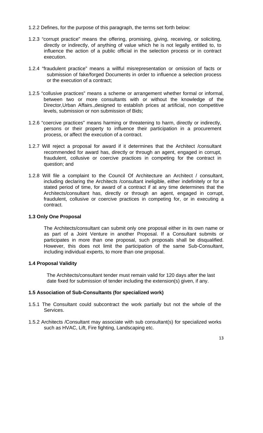- 1.2.2 Defines, for the purpose of this paragraph, the terms set forth below:
- 1.2.3 "corrupt practice" means the offering, promising, giving, receiving, or soliciting, directly or indirectly, of anything of value which he is not legally entitled to, to influence the action of a public official in the selection process or in contract execution.
- 1.2.4 "fraudulent practice" means a willful misrepresentation or omission of facts or submission of fake/forged Documents in order to influence a selection process or the execution of a contract;
- 1.2.5 "collusive practices" means a scheme or arrangement whether formal or informal, between two or more consultants with or without the knowledge of the Director,Urban Affairs.,designed to establish prices at artificial, non competitive levels, submission or non submission of Bids;
- 1.2.6 "coercive practices" means harming or threatening to harm, directly or indirectly, persons or their property to influence their participation in a procurement process, or affect the execution of a contract.
- 1.2.7 Will reject a proposal for award if it determines that the Architect /consultant recommended for award has, directly or through an agent, engaged in corrupt, fraudulent, collusive or coercive practices in competing for the contract in question; and
- 1.2.8 Will file a complaint to the Council Of Architecture an Architect / consultant, including declaring the Architects /consultant ineligible, either indefinitely or for a stated period of time, for award of a contract if at any time determines that the Architects/consultant has, directly or through an agent, engaged in corrupt, fraudulent, collusive or coercive practices in competing for, or in executing a contract.

#### **1.3 Only One Proposal**

The Architects/consultant can submit only one proposal either in its own name or as part of a Joint Venture in another Proposal. If a Consultant submits or participates in more than one proposal, such proposals shall be disqualified. However, this does not limit the participation of the same Sub-Consultant, including individual experts, to more than one proposal.

#### **1.4 Proposal Validity**

The Architects/consultant tender must remain valid for 120 days after the last date fixed for submission of tender including the extension(s) given, if any.

#### **1.5 Association of Sub-Consultants (for specialized work)**

- 1.5.1 The Consultant could subcontract the work partially but not the whole of the Services.
- 1.5.2 Architects /Consultant may associate with sub consultant(s) for specialized works such as HVAC, Lift, Fire fighting, Landscaping etc.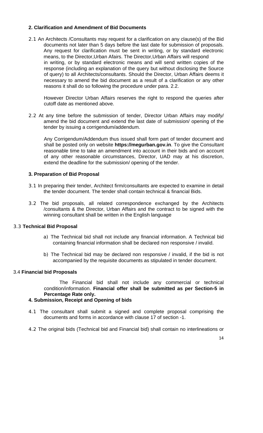#### **2. Clarification and Amendment of Bid Documents**

2.1 An Architects /Consultants may request for a clarification on any clause(s) of the Bid documents not later than 5 days before the last date for submission of proposals. Any request for clarification must be sent in writing, or by standard electronic means, to the Director,Urban Afairs. The Director,Urban Affairs will respond in writing, or by standard electronic means and will send written copies of the response (including an explanation of the query but without disclosing the Source of query) to all Architects/consultants. Should the Director, Urban Affairs deems it necessary to amend the bid document as a result of a clarification or any other reasons it shall do so following the procedure under para. 2.2.

However Director Urban Affairs reserves the right to respond the queries after cutoff date as mentioned above.

2.2 At any time before the submission of tender, Director Urban Affairs may modify/ amend the bid document and extend the last date of submission/ opening of the tender by issuing a corrigendum/addendum.

Any Corrigendum/Addendum thus issued shall form part of tender document and shall be posted only on website **https://megurban.gov.in**. To give the Consultant reasonable time to take an amendment into account in their bids and on account of any other reasonable circumstances, Director, UAD may at his discretion, extend the deadline for the submission/ opening of the tender.

#### **3. Preparation of Bid Proposal**

- 3.1 In preparing their tender, Architect firm/consultants are expected to examine in detail the tender document. The tender shall contain technical & financial Bids.
- 3.2 The bid proposals, all related correspondence exchanged by the Architects /consultants & the Director, Urban Affairs and the contract to be signed with the winning consultant shall be written in the English language

#### 3.3 **Technical Bid Proposal**

- a) The Technical bid shall not include any financial information. A Technical bid containing financial information shall be declared non responsive / invalid.
- b) The Technical bid may be declared non responsive / invalid, if the bid is not accompanied by the requisite documents as stipulated in tender document.

#### 3.4 **Financial bid Proposals**

The Financial bid shall not include any commercial or technical condition/information. **Financial offer shall be submitted as per Section-5 in Percentage Rate only.** 

#### **4. Submission, Receipt and Opening of bids**

- 4.1 The consultant shall submit a signed and complete proposal comprising the documents and forms in accordance with clause 17 of section -1.
- 4.2 The original bids (Technical bid and Financial bid) shall contain no interlineations or

14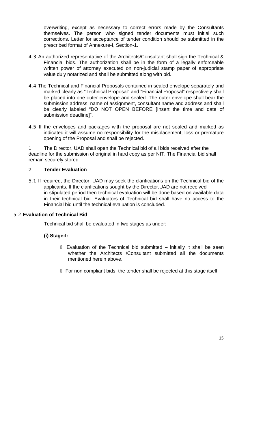overwriting, except as necessary to correct errors made by the Consultants themselves. The person who signed tender documents must initial such corrections. Letter for acceptance of tender condition should be submitted in the prescribed format of Annexure-I, Section-1.

- 4.3 An authorized representative of the Architects/Consultant shall sign the Technical & Financial bids. The authorization shall be in the form of a legally enforceable written power of attorney executed on non-judicial stamp paper of appropriate value duly notarized and shall be submitted along with bid.
- 4.4 The Technical and Financial Proposals contained in sealed envelope separately and marked clearly as "Technical Proposal" and "Financial Proposal" respectively shall be placed into one outer envelope and sealed. The outer envelope shall bear the submission address, name of assignment, consultant name and address and shall be clearly labeled "DO NOT OPEN BEFORE [Insert the time and date of submission deadline]".
- 4.5 If the envelopes and packages with the proposal are not sealed and marked as indicated it will assume no responsibility for the misplacement, loss or premature opening of the Proposal and shall be rejected.

1 The Director, UAD shall open the Technical bid of all bids received after the deadline for the submission of original in hard copy as per NIT. The Financial bid shall remain securely stored.

#### 2 **Tender Evaluation**

5.1 If required, the Director, UAD may seek the clarifications on the Technical bid of the applicants. If the clarifications sought by the Director,UAD are not received in stipulated period then technical evaluation will be done based on available data in their technical bid. Evaluators of Technical bid shall have no access to the Financial bid until the technical evaluation is concluded.

#### 5.2 **Evaluation of Technical Bid**

Technical bid shall be evaluated in two stages as under:

#### **(i) Stage-I:**

 Evaluation of the Technical bid submitted – initially it shall be seen whether the Architects /Consultant submitted all the documents mentioned herein above.

For non compliant bids, the tender shall be rejected at this stage itself.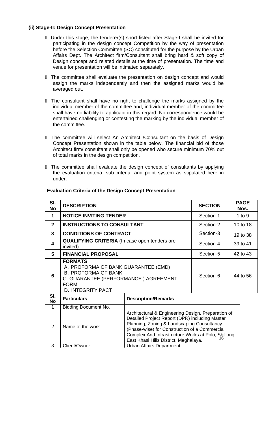#### **(ii) Stage-II: Design Concept Presentation**

 Under this stage, the tenderer(s) short listed after Stage-I shall be invited for participating in the design concept Competition by the way of presentation before the Selection Committee (SC) constituted for the purpose by the Urban Affairs Dept. The Architect firm/Consultant shall bring hard & soft copy of Design concept and related details at the time of presentation. The time and venue for presentation will be intimated separately.

The committee shall evaluate the presentation on design concept and would assign the marks independently and then the assigned marks would be averaged out.

The consultant shall have no right to challenge the marks assigned by the individual member of the committee and, individual member of the committee shall have no liability to applicant in this regard. No correspondence would be entertained challenging or contesting the marking by the individual member of the committee.

 The committee will select An Architect /Consultant on the basis of Design Concept Presentation shown in the table below. The financial bid of those Architect firm/ consultant shall only be opened who secure minimum 70% out of total marks in the design competition.

 The committee shall evaluate the design concept of consultants by applying the evaluation criteria, sub-criteria, and point system as stipulated here in under.

| SI.<br>No        | <b>DESCRIPTION</b>                                                                                                                                                     |                                                                                                                                                                                                                                                                                                     | <b>SECTION</b> |          | <b>PAGE</b><br>Nos. |
|------------------|------------------------------------------------------------------------------------------------------------------------------------------------------------------------|-----------------------------------------------------------------------------------------------------------------------------------------------------------------------------------------------------------------------------------------------------------------------------------------------------|----------------|----------|---------------------|
| $\mathbf 1$      | <b>NOTICE INVITING TENDER</b>                                                                                                                                          | Section-1                                                                                                                                                                                                                                                                                           |                | 1 to $9$ |                     |
| $\mathbf{2}$     | <b>INSTRUCTIONS TO CONSULTANT</b>                                                                                                                                      |                                                                                                                                                                                                                                                                                                     | Section-2      | 10 to 18 |                     |
| $\mathbf{3}$     | <b>CONDITIONS OF CONTRACT</b>                                                                                                                                          |                                                                                                                                                                                                                                                                                                     | Section-3      |          | 19 to 38            |
| 4                | <b>QUALIFYING CRITERIA</b> (In case open tenders are<br>invited)                                                                                                       |                                                                                                                                                                                                                                                                                                     | Section-4      |          | 39 to 41            |
| 5                | <b>FINANCIAL PROPOSAL</b>                                                                                                                                              |                                                                                                                                                                                                                                                                                                     | Section-5      |          | 42 to 43            |
| 6                | <b>FORMATS</b><br>A. PROFORMA OF BANK GUARANTEE (EMD)<br><b>B. PROFORMA OF BANK</b><br>C. GUARANTEE (PERFORMANCE) AGREEMENT<br><b>FORM</b><br><b>D. INTEGRITY PACT</b> |                                                                                                                                                                                                                                                                                                     | Section-6      |          | 44 to 56            |
| SI.<br><b>No</b> | <b>Particulars</b>                                                                                                                                                     | <b>Description/Remarks</b>                                                                                                                                                                                                                                                                          |                |          |                     |
| $\mathbf{1}$     | <b>Bidding Document No.</b>                                                                                                                                            |                                                                                                                                                                                                                                                                                                     |                |          |                     |
| 2                | Name of the work                                                                                                                                                       | Architectural & Engineering Design, Preparation of<br>Detailed Project Report (DPR) including Master<br>Planning, Zoning & Landscaping Consultancy<br>(Phase-wise) for Construction of a Commercial<br>Complex And Infrastructure Works at Polo, Shillong,<br>East Khasi Hills District, Meghalaya. |                |          |                     |
| 3                | Client/Owner                                                                                                                                                           | <b>Urban Affairs Department</b>                                                                                                                                                                                                                                                                     |                |          |                     |

#### **Evaluation Criteria of the Design Concept Presentation**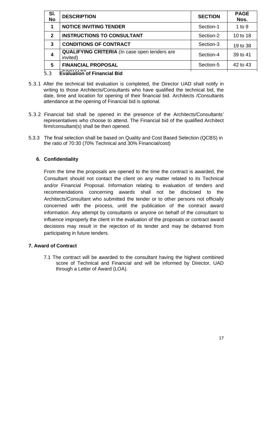| SI.<br><b>No</b> | <b>DESCRIPTION</b>                                               | <b>SECTION</b> | <b>PAGE</b><br>Nos. |
|------------------|------------------------------------------------------------------|----------------|---------------------|
|                  | <b>NOTICE INVITING TENDER</b>                                    | Section-1      | $1$ to $9$          |
| $\mathbf{p}$     | <b>INSTRUCTIONS TO CONSULTANT</b>                                | Section-2      | 10 to 18            |
| 3                | <b>CONDITIONS OF CONTRACT</b>                                    | Section-3      | 19 to 38            |
| $\boldsymbol{4}$ | <b>QUALIFYING CRITERIA</b> (In case open tenders are<br>invited) | Section-4      | 39 to 41            |
| 5                | <b>FINANCIAL PROPOSAL</b>                                        | Section-5      | 42 to 43            |
|                  |                                                                  |                |                     |

#### 5.3 **FORMATS Evaluation of Financial Bid**

- 5.3.1 After the technical bid evaluation is completed, the Director UAD shall notify in writing to those Architects/Consultants who have qualified the technical bid, the date, time and location for opening of their financial bid. Architects /Consultants attendance at the opening of Financial bid is optional.
- 5.3.2 Financial bid shall be opened in the presence of the Architects/Consultants' representatives who choose to attend. The Financial bid of the qualified Architect firm/consultant(s) shall be then opened.
- 5.3.3 The final selection shall be based on Quality and Cost Based Selection (QCBS) in the ratio of 70:30 (70% Technical and 30% Financial/cost)

#### **6. Confidentiality**

From the time the proposals are opened to the time the contract is awarded, the Consultant should not contact the client on any matter related to its Technical and/or Financial Proposal. Information relating to evaluation of tenders and recommendations concerning awards shall not be disclosed to the Architects/Consultant who submitted the tender or to other persons not officially concerned with the process, until the publication of the contract award information. Any attempt by consultants or anyone on behalf of the consultant to influence improperly the client in the evaluation of the proposals or contract award decisions may result in the rejection of its tender and may be debarred from participating in future tenders.

#### **7. Award of Contract**

7.1 The contract will be awarded to the consultant having the highest combined score of Technical and Financial and will be informed by Director, UAD through a Letter of Award (LOA).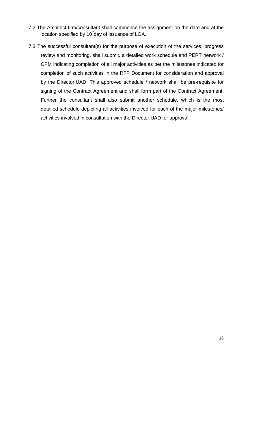- 7.2 The Architect firm/consultant shall commence the assignment on the date and at the location specified by 10<sup>"</sup> day of issuance of LOA.
- 7.3 The successful consultant(s) for the purpose of execution of the services, progress review and monitoring, shall submit, a detailed work schedule and PERT network / CPM indicating completion of all major activities as per the milestones indicated for completion of such activities in the RFP Document for consideration and approval by the Director,UAD. This approved schedule / network shall be pre-requisite for signing of the Contract Agreement and shall form part of the Contract Agreement. Further the consultant shall also submit another schedule, which is the most detailed schedule depicting all activities involved for each of the major milestones/ activities involved in consultation with the Director,UAD for approval.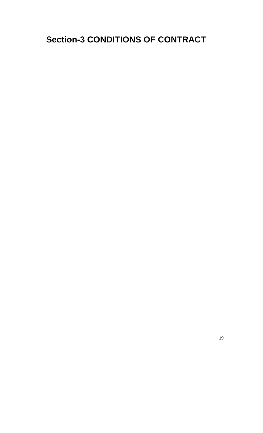## **Section-3 CONDITIONS OF CONTRACT**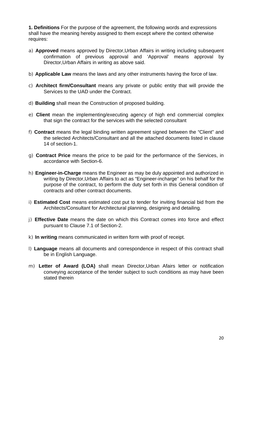**1. Definitions** For the purpose of the agreement, the following words and expressions shall have the meaning hereby assigned to them except where the context otherwise requires:

- a) **Approved** means approved by Director,Urban Affairs in writing including subsequent confirmation of previous approval and 'Approval' means approval by Director,Urban Affairs in writing as above said.
- b) **Applicable Law** means the laws and any other instruments having the force of law.
- c) **Architect firm/Consultant** means any private or public entity that will provide the Services to the UAD under the Contract.
- d) **Building** shall mean the Construction of proposed building.
- e) **Client** mean the implementing/executing agency of high end commercial complex that sign the contract for the services with the selected consultant
- f) **Contract** means the legal binding written agreement signed between the "Client" and the selected Architects/Consultant and all the attached documents listed in clause 14 of section-1.
- g) **Contract Price** means the price to be paid for the performance of the Services, in accordance with Section-6.
- h) **Engineer-in-Charge** means the Engineer as may be duly appointed and authorized in writing by Director,Urban Affairs to act as "Engineer-incharge" on his behalf for the purpose of the contract, to perform the duty set forth in this General condition of contracts and other contract documents.
- i) **Estimated Cost** means estimated cost put to tender for inviting financial bid from the Architects/Consultant for Architectural planning, designing and detailing.
- j) **Effective Date** means the date on which this Contract comes into force and effect pursuant to Clause 7.1 of Section-2.
- k) **In writing** means communicated in written form with proof of receipt.
- l) **Language** means all documents and correspondence in respect of this contract shall be in English Language.
- m) **Letter of Award (LOA)** shall mean Director,Urban Afairs letter or notification conveying acceptance of the tender subject to such conditions as may have been stated therein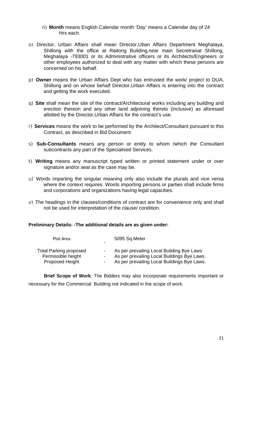- n) **Month** means English Calendar month 'Day' means a Calendar day of 24 Hrs each.
- o) Director, Urban Affairs shall mean Director,Uban Affairs Department Meghalaya, Shillong with the office at Raitong Building,near main Secretrariat Shillong, Meghalaya -793001 or its Administrative officers or its Architects/Engineers or other employees authorized to deal with any matter with which these persons are concerned on his behalf.
- p) **Owner** means the Urban Affairs Dept who has entrusted the work/ project to DUA, Shillong and on whose behalf Director,Urban Affairs is entering into the contract and getting the work executed.
- q) **Site** shall mean the site of the contract/Architectural works including any building and erection thereon and any other land adjoining thereto (inclusive) as aforesaid allotted by the Director,Urban Affairs for the contract's use.
- r) **Services** means the work to be performed by the Architect/Consultant pursuant to this Contract, as described in Bid Document.
- s) **Sub-Consultants** means any person or entity to whom /which the Consultant subcontracts any part of the Specialised Services.
- t) **Writing** means any manuscript typed written or printed statement under or over signature and/or seal as the case may be.
- u) Words imparting the singular meaning only also include the plurals and vice versa where the context requires. Words importing persons or parties shall include firms and corporations and organizations having legal capacities.
- v) The headings in the clauses/conditions of contract are for convenience only and shall not be used for interpretation of the clause/ condition.

#### **Preliminary Details: -The additional details are as given under:**

| Plot Area                                                       | 5095 Sq.Meter                                                                                                                           |
|-----------------------------------------------------------------|-----------------------------------------------------------------------------------------------------------------------------------------|
| Total Parking proposed<br>Permissible height<br>Proposed Height | As per prevailing Local Building Bye Laws<br>As per prevailing Local Buildings Bye Laws.<br>As per prevailing Local Buildings Bye Laws. |

**Brief Scope of Work**: The Bidders may also incorporate requirements important or necessary for the Commercial Building not indicated in the scope of work.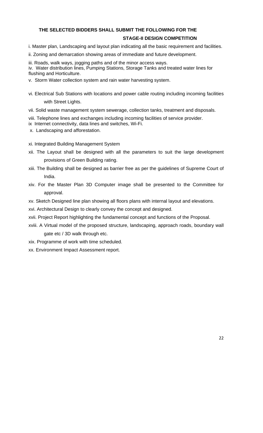## **THE SELECTED BIDDERS SHALL SUBMIT THE FOLLOWING FOR THE**

#### **STAGE-II DESIGN COMPETITION**

i. Master plan, Landscaping and layout plan indicating all the basic requirement and facilities.

ii. Zoning and demarcation showing areas of immediate and future development.

iii. Roads, walk ways, jogging paths and of the minor access ways.

iv. Water distribution lines, Pumping Stations, Storage Tanks and treated water lines for flushing and Horticulture.

- v. Storm Water collection system and rain water harvesting system.
- vi. Electrical Sub Stations with locations and power cable routing including incoming facilities with Street Lights.

vii. Solid waste management system sewerage, collection tanks, treatment and disposals.

viii. Telephone lines and exchanges including incoming facilities of service provider.

- ix Internet connectivity, data lines and switches, Wi-Fi.
- x. Landscaping and afforestation.

xi. Integrated Building Management System

- xii. The Layout shall be designed with all the parameters to suit the large development provisions of Green Building rating.
- xiii. The Building shall be designed as barrier free as per the guidelines of Supreme Court of India.
- xiv. For the Master Plan 3D Computer image shall be presented to the Committee for approval.
- xv. Sketch Designed line plan showing all floors plans with internal layout and elevations.
- xvi. Architectural Design to clearly convey the concept and designed.
- xvii. Project Report highlighting the fundamental concept and functions of the Proposal.
- xviii. A Virtual model of the proposed structure, landscaping, approach roads, boundary wall gate etc / 3D walk through etc.
- xix. Programme of work with time scheduled.
- xx. Environment Impact Assessment report.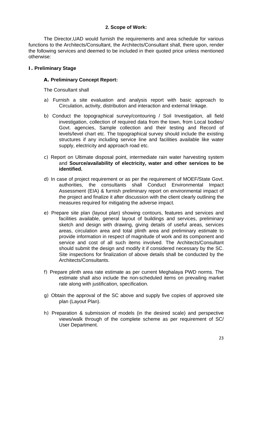#### **2. Scope of Work:**

The Director,UAD would furnish the requirements and area schedule for various functions to the Architects/Consultant, the Architects/Consultant shall, there upon, render the following services and deemed to be included in their quoted price unless mentioned otherwise:

#### **I. Preliminary Stage**

#### **A. Preliminary Concept Report:**

The Consultant shall

- a) Furnish a site evaluation and analysis report with basic approach to Circulation, activity, distribution and interaction and external linkage.
- b) Conduct the topographical survey/contouring / Soil Investigation, all field investigation, collection of required data from the town, from Local bodies/ Govt. agencies, Sample collection and their testing and Record of levels/level chart etc. The topographical survey should include the existing structures if any including service line and facilities available like water supply, electricity and approach road etc.
- c) Report on Ultimate disposal point, intermediate rain water harvesting system and **Source/availability of electricity, water and other services to be identified.**
- d) In case of project requirement or as per the requirement of MOEF/State Govt. authorities, the consultants shall Conduct Environmental Impact Assessment (EIA) & furnish preliminary report on environmental impact of the project and finalize it after discussion with the client clearly outlining the measures required for mitigating the adverse impact.
- e) Prepare site plan (layout plan) showing contours, features and services and facilities available, general layout of buildings and services, preliminary sketch and design with drawing, giving details of useful areas, services areas, circulation area and total plinth area and preliminary estimate to provide information in respect of magnitude of work and its component and service and cost of all such items involved. The Architects/Consultant should submit the design and modify it if considered necessary by the SC. Site inspections for finalization of above details shall be conducted by the Architects/Consultants.
- f) Prepare plinth area rate estimate as per current Meghalaya PWD norms. The estimate shall also include the non-scheduled items on prevailing market rate along with justification, specification.
- g) Obtain the approval of the SC above and supply five copies of approved site plan (Layout Plan).
- h) Preparation & submission of models (in the desired scale) and perspective views/walk through of the complete scheme as per requirement of SC/ User Department.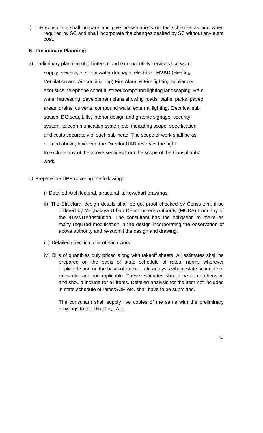i) The consultant shall prepare and give presentations on the schemes as and when required by SC and shall incorporate the changes desired by SC without any extra cost.

#### **B. Preliminary Planning:**

- a) Preliminary planning of all internal and external utility services like water supply, sewerage, storm water drainage, electrical, **HVAC** (Heating, Ventilation and Air-conditioning) Fire Alarm & Fire fighting appliances acoustics, telephone conduit, street/compound lighting landscaping, Rain water harvesting, development plans showing roads, paths, parks, paved areas, drains, culverts, compound walls, external lighting, Electrical sub station, DG sets, Lifts, interior design and graphic signage, security system, telecommunication system etc. indicating scope, specification and costs separately of such sub-head. The scope of work shall be as defined above; however, the Director,UAD reserves the right to exclude any of the above services from the scope of the Consultants' work.
- b) Prepare the DPR covering the following:
	- i) Detailed Architectural, structural, & flowchart drawings.
	- ii) The Structural design details shall be got proof checked by Consultant, if so ordered by Meghalaya Urban Development Authority (MUDA) from any of the IITs/NITs/Institution. The consultant has the obligation to make as many required modification in the design incorporating the observation of above authority and re-submit the design and drawing.
	- iii) Detailed specifications of each work.
	- iv) Bills of quantities duly priced along with takeoff sheets. All estimates shall be prepared on the basis of state schedule of rates, norms wherever applicable and on the basis of market rate analysis where state schedule of rates etc. are not applicable. These estimates should be comprehensive and should include for all items. Detailed analysis for the item not included in state schedule of rates/SOR etc. shall have to be submitted.

The consultant shall supply five copies of the same with the preliminary drawings to the Director,UAD.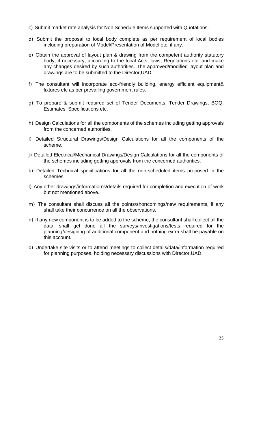- c) Submit market rate analysis for Non Schedule Items supported with Quotations.
- d) Submit the proposal to local body complete as per requirement of local bodies including preparation of Model/Presentation of Model etc. if any.
- e) Obtain the approval of layout plan & drawing from the competent authority statutory body, if necessary, according to the local Acts, laws, Regulations etc. and make any changes desired by such authorities. The approved/modified layout plan and drawings are to be submitted to the Director,UAD.
- f) The consultant will incorporate eco-friendly building, energy efficient equipment& fixtures etc as per prevailing government rules.
- g) To prepare & submit required set of Tender Documents, Tender Drawings, BOQ, Estimates, Specifications etc.
- h) Design Calculations for all the components of the schemes including getting approvals from the concerned authorities.
- i) Detailed Structural Drawings/Design Calculations for all the components of the scheme.
- j) Detailed Electrical/Mechanical Drawings/Design Calculations for all the components of the schemes including getting approvals from the concerned authorities.
- k) Detailed Technical specifications for all the non-scheduled items proposed in the schemes.
- l) Any other drawings/information's/details required for completion and execution of work but not mentioned above.
- m) The consultant shall discuss all the points/shortcomings/new requirements, if any shall take their concurrence on all the observations.
- n) If any new component is to be added to the scheme, the consultant shall collect all the data, shall get done all the surveys/investigations/tests required for the planning/designing of additional component and nothing extra shall be payable on this account.
- o) Undertake site visits or to attend meetings to collect details/data/information required for planning purposes, holding necessary discussions with Director,UAD.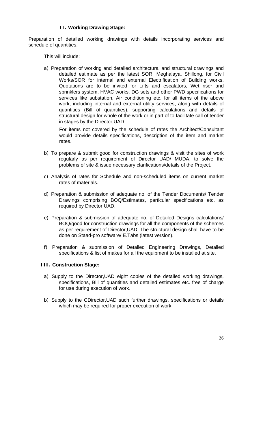#### **II. Working Drawing Stage:**

Preparation of detailed working drawings with details incorporating services and schedule of quantities.

This will include:

a) Preparation of working and detailed architectural and structural drawings and detailed estimate as per the latest SOR, Meghalaya, Shillong, for Civil Works/SOR for internal and external Electrification of Building works. Quotations are to be invited for Lifts and escalators, Wet riser and sprinklers system, HVAC works, DG sets and other PWD specifications for services like substation, Air conditioning etc. for all items of the above work, including internal and external utility services, along with details of quantities (Bill of quantities), supporting calculations and details of structural design for whole of the work or in part of to facilitate call of tender in stages by the Director,UAD.

For items not covered by the schedule of rates the Architect/Consultant would provide details specifications, description of the item and market rates.

- b) To prepare & submit good for construction drawings & visit the sites of work regularly as per requirement of Director UAD/ MUDA, to solve the problems of site & issue necessary clarifications/details of the Project.
- c) Analysis of rates for Schedule and non-scheduled items on current market rates of materials.
- d) Preparation & submission of adequate no. of the Tender Documents/ Tender Drawings comprising BOQ/Estimates, particular specifications etc. as required by Director,UAD.
- e) Preparation & submission of adequate no. of Detailed Designs calculations/ BOQ/good for construction drawings for all the components of the schemes as per requirement of Director,UAD. The structural design shall have to be done on Staad-pro software/ E.Tabs (latest version).
- f) Preparation & submission of Detailed Engineering Drawings, Detailed specifications & list of makes for all the equipment to be installed at site.

#### **III. Construction Stage:**

- a) Supply to the Director,UAD eight copies of the detailed working drawings, specifications, Bill of quantities and detailed estimates etc. free of charge for use during execution of work.
- b) Supply to the CDirector,UAD such further drawings, specifications or details which may be required for proper execution of work.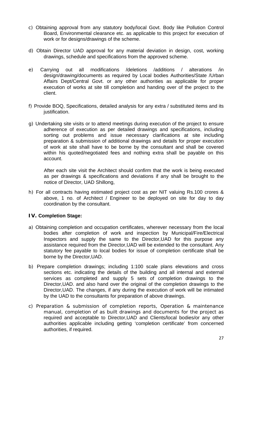- c) Obtaining approval from any statutory body/local Govt. Body like Pollution Control Board, Environmental clearance etc. as applicable to this project for execution of work or for designs/drawings of the scheme.
- d) Obtain Director UAD approval for any material deviation in design, cost, working drawings, schedule and specifications from the approved scheme.
- e) Carrying out all modifications /deletions /additions / alterations /in design/drawing/documents as required by Local bodies Authorities/State /Urban Affairs Dept/Central Govt. or any other authorities as applicable for proper execution of works at site till completion and handing over of the project to the client.
- f) Provide BOQ, Specifications, detailed analysis for any extra / substituted items and its justification.
- g) Undertaking site visits or to attend meetings during execution of the project to ensure adherence of execution as per detailed drawings and specifications, including sorting out problems and issue necessary clarifications at site including preparation & submission of additional drawings and details for proper execution of work at site shall have to be borne by the consultant and shall be covered within his quoted/negotiated fees and nothing extra shall be payable on this account.

After each site visit the Architect should confirm that the work is being executed as per drawings & specifications and deviations if any shall be brought to the notice of Director, UAD Shillong,

h) For all contracts having estimated project cost as per NIT valuing Rs.100 crores & above, 1 no. of Architect / Engineer to be deployed on site for day to day coordination by the consultant.

#### **IV. Completion Stage:**

- a) Obtaining completion and occupation certificates, wherever necessary from the local bodies after completion of work and inspection by Municipal/Fire/Electrical Inspectors and supply the same to the Director,UAD for this purpose any assistance required from the Director,UAD will be extended to the consultant. Any statutory fee payable to local bodies for issue of completion certificate shall be borne by the Director,UAD.
- b) Prepare completion drawings; including 1:100 scale plans elevations and cross sections etc. indicating the details of the building and all internal and external services as completed and supply 5 sets of completion drawings to the Director,UAD. and also hand over the original of the completion drawings to the Director,UAD. The changes, if any during the execution of work will be intimated by the UAD to the consultants for preparation of above drawings.
- c) Preparation & submission of completion reports, Operation & maintenance manual, completion of as built drawings and documents for the project as required and acceptable to Director,UAD and Clients/local bodies/or any other authorities applicable including getting 'completion certificate' from concerned authorities, if required.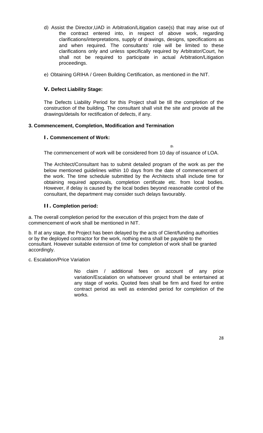- d) Assist the Director,UAD in Arbitration/Litigation case(s) that may arise out of the contract entered into, in respect of above work, regarding clarifications/interpretations, supply of drawings, designs, specifications as and when required. The consultants' role will be limited to these clarifications only and unless specifically required by Arbitrator/Court, he shall not be required to participate in actual Arbitration/Litigation proceedings.
- e) Obtaining GRIHA / Green Building Certification, as mentioned in the NIT.

#### **V. Defect Liability Stage:**

The Defects Liability Period for this Project shall be till the completion of the construction of the building. The consultant shall visit the site and provide all the drawings/details for rectification of defects, if any.

#### **3. Commencement, Completion, Modification and Termination**

#### **I. Commencement of Work:**

th

The commencement of work will be considered from 10 day of issuance of LOA.

The Architect/Consultant has to submit detailed program of the work as per the below mentioned guidelines within 10 days from the date of commencement of the work. The time schedule submitted by the Architects shall include time for obtaining required approvals, completion certificate etc. from local bodies. However, if delay is caused by the local bodies beyond reasonable control of the consultant, the department may consider such delays favourably.

#### **II. Completion period:**

a. The overall completion period for the execution of this project from the date of commencement of work shall be mentioned in NIT.

b. If at any stage, the Project has been delayed by the acts of Client/funding authorities or by the deployed contractor for the work, nothing extra shall be payable to the consultant. However suitable extension of time for completion of work shall be granted accordingly.

c. Escalation/Price Variation

No claim / additional fees on account of any price variation/Escalation on whatsoever ground shall be entertained at any stage of works. Quoted fees shall be firm and fixed for entire contract period as well as extended period for completion of the works.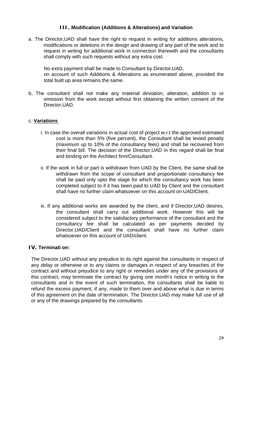#### **III. Modification (Additions & Alterations) and Variation**

a. The Director,UAD shall have the right to request in writing for additions alterations, modifications or deletions in the design and drawing of any part of the work and to request in writing for additional work in connection therewith and the consultants shall comply with such requests without any extra cost.

No extra payment shall be made to Consultant by Director,UAD, on account of such Additions & Alterations as enumerated above, provided the total built up area remains the same.

b. The consultant shall not make any material deviation, alteration, addition to or omission from the work except without first obtaining the written consent of the Director,UAD.

#### c. **Variations**

- i. In case the overall variations in actual cost of project w.r.t the approved estimated cost is more than 5% (five percent), the Consultant shall be levied penalty (maximum up to 10% of the consultancy fees) and shall be recovered from their final bill. The decision of the Director,UAD in this regard shall be final and binding on the Architect firm/Consultant.
- ii. If the work in full or part is withdrawn from UAD by the Client, the same shall be withdrawn from the scope of consultant and proportionate consultancy fee shall be paid only upto the stage for which the consultancy work has been completed subject to if it has been paid to UAD by Client and the consultant shall have no further claim whatsoever on this account on UAD/Client.
- iii. If any additional works are awarded by the client, and if Director,UAD desires, the consultant shall carry out additional work. However this will be considered subject to the satisfactory performance of the consultant and the consultancy fee shall be calculated as per payments decided by Director,UAD/Client and the consultant shall have no further claim whatsoever on this account of UAD/client.

#### **IV. Terminati on:**

The Director,UAD without any prejudice to its right against the consultants in respect of any delay or otherwise or to any claims or damages in respect of any breaches of the contract and without prejudice to any right or remedies under any of the provisions of this contract, may terminate the contract by giving one month's notice in writing to the consultants and in the event of such termination, the consultants shall be liable to refund the excess payment, if any, made to them over and above what is due in terms of this agreement on the date of termination. The Director,UAD may make full use of all or any of the drawings prepared by the consultants.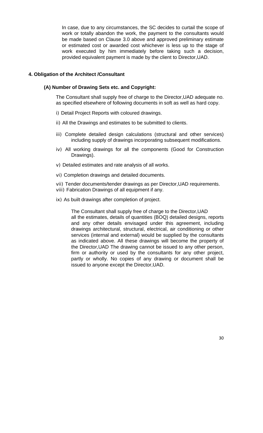In case, due to any circumstances, the SC decides to curtail the scope of work or totally abandon the work, the payment to the consultants would be made based on Clause 3.0 above and approved preliminary estimate or estimated cost or awarded cost whichever is less up to the stage of work executed by him immediately before taking such a decision, provided equivalent payment is made by the client to Director,UAD.

#### **4. Obligation of the Architect /Consultant**

#### **(A) Number of Drawing Sets etc. and Copyright:**

The Consultant shall supply free of charge to the Director,UAD adequate no. as specified elsewhere of following documents in soft as well as hard copy.

- i) Detail Project Reports with coloured drawings.
- ii) All the Drawings and estimates to be submitted to clients.
- iii) Complete detailed design calculations (structural and other services) including supply of drawings incorporating subsequent modifications.
- iv) All working drawings for all the components (Good for Construction Drawings).
- v) Detailed estimates and rate analysis of all works.
- vi) Completion drawings and detailed documents.
- vii) Tender documents/tender drawings as per Director,UAD requirements.
- viii) Fabrication Drawings of all equipment if any.
- ix) As built drawings after completion of project.

The Consultant shall supply free of charge to the Director,UAD all the estimates, details of quantities (BOQ) detailed designs, reports and any other details envisaged under this agreement, including drawings architectural, structural, electrical, air conditioning or other services (internal and external) would be supplied by the consultants as indicated above. All these drawings will become the property of the Director,UAD The drawing cannot be issued to any other person, firm or authority or used by the consultants for any other project, partly or wholly. No copies of any drawing or document shall be issued to anyone except the Director,UAD.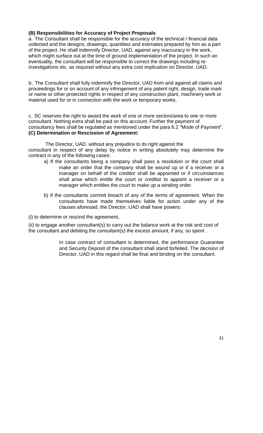#### **(B) Responsibilities for Accuracy of Project Proposals**

a. The Consultant shall be responsible for the accuracy of the technical / financial data collected and the designs, drawings, quantities and estimates prepared by him as a part of the project. He shall indemnify Director, UAD, against any inaccuracy in the work, which might surface out at the time of ground implementation of the project. In such an eventuality, the consultant will be responsible to correct the drawings including reinvestigations etc. as required without any extra cost implication on Director, UAD.

b. The Consultant shall fully indemnify the Director, UAD from and against all claims and proceedings for or on account of any infringement of any patent right, design, trade mark or name or other protected rights in respect of any construction plant, machinery work or material used for or in connection with the work or temporary works.

c. SC reserves the right to award the work of one or more sectors/area to one or more consultant. Nothing extra shall be paid on this account. Further the payment of consultancy fees shall be regulated as mentioned under the para 6.2 "Mode of Payment". **(C) Determination or Rescission of Agreement:** 

The Director, UAD. without any prejudice to its right against the consultant in respect of any delay by notice in writing absolutely may determine the contract in any of the following cases:

- a) If the consultants being a company shall pass a resolution or the court shall make an order that the company shall be wound up or if a receiver or a manager on behalf of the creditor shall be appointed or if circumstances shall arise which entitle the court or creditor to appoint a receiver or a manager which entitles the court to make up a winding order.
- b) If the consultants commit breach of any of the terms of agreement. When the consultants have made themselves liable for action under any of the clauses aforesaid, the Director, UAD shall have powers:
- (i) to determine or rescind the agreement,

(ii) to engage another consultant(s) to carry out the balance work at the risk and cost of the consultant and debiting the consultant(s) the excess amount, if any, so spent .

> In case contract of consultant is determined, the performance Guarantee and Security Deposit of the consultant shall stand forfeited. The decision of Director, UAD in this regard shall be final and binding on the consultant.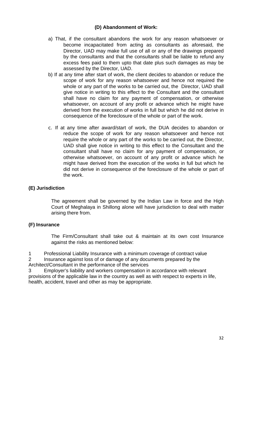#### **(D) Abandonment of Work:**

- a) That, if the consultant abandons the work for any reason whatsoever or become incapacitated from acting as consultants as aforesaid, the Director, UAD may make full use of all or any of the drawings prepared by the consultants and that the consultants shall be liable to refund any excess fees paid to them upto that date plus such damages as may be assessed by the Director, UAD.
- b) If at any time after start of work, the client decides to abandon or reduce the scope of work for any reason whatsoever and hence not required the whole or any part of the works to be carried out, the Director, UAD shall give notice in writing to this effect to the Consultant and the consultant shall have no claim for any payment of compensation, or otherwise whatsoever, on account of any profit or advance which he might have derived from the execution of works in full but which he did not derive in consequence of the foreclosure of the whole or part of the work.
- c. If at any time after award/start of work, the DUA decides to abandon or reduce the scope of work for any reason whatsoever and hence not require the whole or any part of the works to be carried out, the Director, UAD shall give notice in writing to this effect to the Consultant and the consultant shall have no claim for any payment of compensation, or otherwise whatsoever, on account of any profit or advance which he might have derived from the execution of the works in full but which he did not derive in consequence of the foreclosure of the whole or part of the work.

#### **(E) Jurisdiction**

The agreement shall be governed by the Indian Law in force and the High Court of Meghalaya in Shillong alone will have jurisdiction to deal with matter arising there from.

#### **(F) Insurance**

The Firm/Consultant shall take out & maintain at its own cost Insurance against the risks as mentioned below:

1 Professional Liability Insurance with a minimum coverage of contract value 2 Insurance against loss of or damage of any documents prepared by the

Architect/Consultant in the performance of the services

Employer's liability and workers compensation in accordance with relevant provisions of the applicable law in the country as well as with respect to experts in life, health, accident, travel and other as may be appropriate.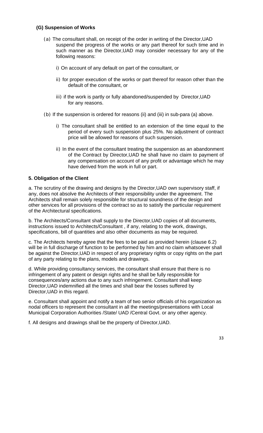#### **(G) Suspension of Works**

- (a) The consultant shall, on receipt of the order in writing of the Director,UAD suspend the progress of the works or any part thereof for such time and in such manner as the Director,UAD may consider necessary for any of the following reasons:
	- i) On account of any default on part of the consultant, or
	- ii) for proper execution of the works or part thereof for reason other than the default of the consultant, or
	- iii) if the work is partly or fully abandoned/suspended by Director,UAD for any reasons.
- (b) If the suspension is ordered for reasons (ii) and (iii) in sub-para (a) above.
	- i) The consultant shall be entitled to an extension of the time equal to the period of every such suspension plus 25%. No adjustment of contract price will be allowed for reasons of such suspension.
	- ii) In the event of the consultant treating the suspension as an abandonment of the Contract by Director,UAD he shall have no claim to payment of any compensation on account of any profit or advantage which he may have derived from the work in full or part.

#### **5. Obligation of the Client**

a. The scrutiny of the drawing and designs by the Director,UAD own supervisory staff, if any, does not absolve the Architects of their responsibility under the agreement. The Architects shall remain solely responsible for structural soundness of the design and other services for all provisions of the contract so as to satisfy the particular requirement of the Architectural specifications.

b. The Architects/Consultant shall supply to the Director,UAD copies of all documents, instructions issued to Architects/Consultant , if any, relating to the work, drawings, specifications, bill of quantities and also other documents as may be required.

c. The Architects hereby agree that the fees to be paid as provided herein (clause 6.2) will be in full discharge of function to be performed by him and no claim whatsoever shall be against the Director,UAD in respect of any proprietary rights or copy rights on the part of any party relating to the plans, models and drawings.

d. While providing consultancy services, the consultant shall ensure that there is no infringement of any patent or design rights and he shall be fully responsible for consequences/any actions due to any such infringement. Consultant shall keep Director,UAD indemnified all the times and shall bear the losses suffered by Director,UAD in this regard.

e. Consultant shall appoint and notify a team of two senior officials of his organization as nodal officers to represent the consultant in all the meetings/presentations with Local Municipal Corporation Authorities /State/ UAD /Central Govt. or any other agency.

f. All designs and drawings shall be the property of Director,UAD.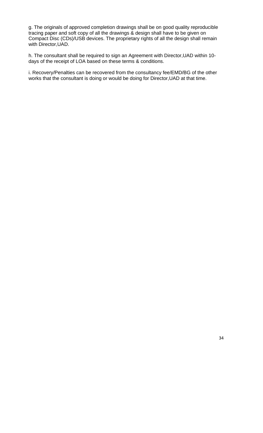g. The originals of approved completion drawings shall be on good quality reproducible tracing paper and soft copy of all the drawings & design shall have to be given on Compact Disc (CDs)/USB devices. The proprietary rights of all the design shall remain with Director,UAD.

h. The consultant shall be required to sign an Agreement with Director,UAD within 10 days of the receipt of LOA based on these terms & conditions.

i. Recovery/Penalties can be recovered from the consultancy fee/EMD/BG of the other works that the consultant is doing or would be doing for Director,UAD at that time.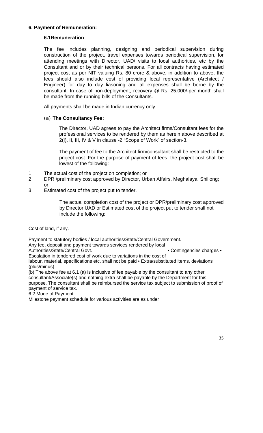#### **6. Payment of Remuneration:**

#### **6.1Remuneration**

The fee includes planning, designing and periodical supervision during construction of the project, travel expenses towards periodical supervision, for attending meetings with Director, UAD/ visits to local authorities, etc by the Consultant and or by their technical persons. For all contracts having estimated project cost as per NIT valuing Rs. 80 crore & above, in addition to above, the fees should also include cost of providing local representative (Architect / Engineer) for day to day liasoning and all expenses shall be borne by the consultant. In case of non-deployment, recovery @ Rs. 25,000/-per month shall be made from the running bills of the Consultants.

All payments shall be made in Indian currency only.

#### (a) **The Consultancy Fee:**

The Director, UAD agrees to pay the Architect firms/Consultant fees for the professional services to be rendered by them as herein above described at 2(I), II, III, IV & V in clause -2 "Scope of Work" of section-3.

The payment of fee to the Architect firm/consultant shall be restricted to the project cost. For the purpose of payment of fees, the project cost shall be lowest of the following:

- 1 The actual cost of the project on completion; or
- 2 DPR /preliminary cost approved by Director, Urban Affairs, Meghalaya, Shillong; or
- 
- 3 Estimated cost of the project put to tender.

The actual completion cost of the project or DPR/preliminary cost approved by Director UAD or Estimated cost of the project put to tender shall not include the following:

Cost of land, if any.

Payment to statutory bodies / local authorities/State/Central Government.

Any fee, deposit and payment towards services rendered by local

Authorities/State/Central Govt. • Contingencies charges • Contingencies charges

Escalation in tendered cost of work due to variations in the cost of

labour, material, specifications etc. shall not be paid • Extra/substituted items, deviations (plus/minus)

(b) The above fee at 6.1 (a) is inclusive of fee payable by the consultant to any other consultant/Associate(s) and nothing extra shall be payable by the Department for this purpose. The consultant shall be reimbursed the service tax subject to submission of proof of payment of service tax.

6.2 Mode of Payment:

Milestone payment schedule for various activities are as under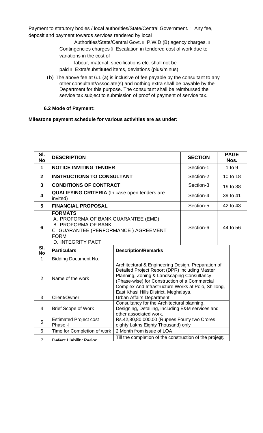Payment to statutory bodies / local authorities/State/Central Government. Any fee, deposit and payment towards services rendered by local

> Authorities/State/Central Govt. P.W.D (B) agency charges. Contingencies charges Escalation in tendered cost of work due to variations in the cost of

labour, material, specifications etc. shall not be

- paid Extra/substituted items, deviations (plus/minus)
- (b) The above fee at 6.1 (a) is inclusive of fee payable by the consultant to any other consultant/Associate(s) and nothing extra shall be payable by the Department for this purpose. The consultant shall be reimbursed the service tax subject to submission of proof of payment of service tax.

**6.2 Mode of Payment:** 

#### **Milestone payment schedule for various activities are as under:**

| SI.<br><b>No</b> | <b>DESCRIPTION</b>                                                                                                                                                     |                                                                                                                                                                                                                                                                                                     | <b>SECTION</b> | <b>PAGE</b><br>Nos. |
|------------------|------------------------------------------------------------------------------------------------------------------------------------------------------------------------|-----------------------------------------------------------------------------------------------------------------------------------------------------------------------------------------------------------------------------------------------------------------------------------------------------|----------------|---------------------|
| $\mathbf{1}$     | <b>NOTICE INVITING TENDER</b>                                                                                                                                          | Section-1                                                                                                                                                                                                                                                                                           | $1$ to $9$     |                     |
| $\mathbf{2}$     | <b>INSTRUCTIONS TO CONSULTANT</b>                                                                                                                                      |                                                                                                                                                                                                                                                                                                     | Section-2      | 10 to 18            |
| 3                | <b>CONDITIONS OF CONTRACT</b>                                                                                                                                          |                                                                                                                                                                                                                                                                                                     | Section-3      | 19 to 38            |
| 4                | <b>QUALIFYING CRITERIA</b> (In case open tenders are<br>invited)                                                                                                       |                                                                                                                                                                                                                                                                                                     | Section-4      | 39 to 41            |
| 5                | <b>FINANCIAL PROPOSAL</b>                                                                                                                                              |                                                                                                                                                                                                                                                                                                     | Section-5      | 42 to 43            |
| 6                | <b>FORMATS</b><br>A. PROFORMA OF BANK GUARANTEE (EMD)<br><b>B. PROFORMA OF BANK</b><br>C. GUARANTEE (PERFORMANCE) AGREEMENT<br><b>FORM</b><br><b>D. INTEGRITY PACT</b> |                                                                                                                                                                                                                                                                                                     | Section-6      | 44 to 56            |
|                  |                                                                                                                                                                        |                                                                                                                                                                                                                                                                                                     |                |                     |
| SI.<br><b>No</b> | <b>Particulars</b>                                                                                                                                                     | <b>Description/Remarks</b>                                                                                                                                                                                                                                                                          |                |                     |
| $\mathbf{1}$     | <b>Bidding Document No.</b>                                                                                                                                            |                                                                                                                                                                                                                                                                                                     |                |                     |
| $\overline{2}$   | Name of the work                                                                                                                                                       | Architectural & Engineering Design, Preparation of<br>Detailed Project Report (DPR) including Master<br>Planning, Zoning & Landscaping Consultancy<br>(Phase-wise) for Construction of a Commercial<br>Complex And Infrastructure Works at Polo, Shillong,<br>East Khasi Hills District, Meghalaya. |                |                     |
| 3                | Client/Owner                                                                                                                                                           | <b>Urban Affairs Department</b>                                                                                                                                                                                                                                                                     |                |                     |
| 4                | <b>Brief Scope of Work</b>                                                                                                                                             | Consultancy for the Architectural planning,<br>Designing, Detailing, including E&M services and<br>other associated work.                                                                                                                                                                           |                |                     |
| 5                | <b>Estimated Project cost</b><br>Phase -I                                                                                                                              | Rs.42,80,80,000.00 (Rupees Fourty two Crores<br>eighty Lakhs Eighty Thousand) only                                                                                                                                                                                                                  |                |                     |
| 6                | Time for Completion of work                                                                                                                                            | 2 Month from issue of LOA                                                                                                                                                                                                                                                                           |                |                     |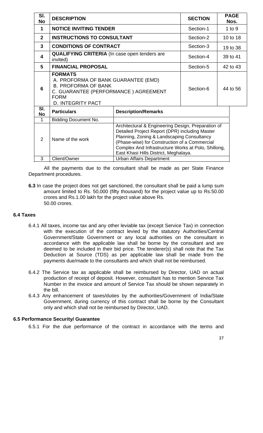| SI.<br>No      | <b>DESCRIPTION</b>                                                                                                                                                     |                                                                                                                                                                                                                                                                                                     | <b>SECTION</b> | <b>PAGE</b><br>Nos. |  |
|----------------|------------------------------------------------------------------------------------------------------------------------------------------------------------------------|-----------------------------------------------------------------------------------------------------------------------------------------------------------------------------------------------------------------------------------------------------------------------------------------------------|----------------|---------------------|--|
| 1              | <b>NOTICE INVITING TENDER</b>                                                                                                                                          |                                                                                                                                                                                                                                                                                                     | Section-1      | $1$ to $9$          |  |
| $\mathbf{2}$   | <b>INSTRUCTIONS TO CONSULTANT</b>                                                                                                                                      |                                                                                                                                                                                                                                                                                                     | Section-2      | 10 to 18            |  |
| 3              | <b>CONDITIONS OF CONTRACT</b>                                                                                                                                          |                                                                                                                                                                                                                                                                                                     | Section-3      | 19 to 38            |  |
| 4              | <b>QUALIFYING CRITERIA</b> (In case open tenders are<br>invited)                                                                                                       |                                                                                                                                                                                                                                                                                                     | Section-4      | 39 to 41            |  |
| 5              | <b>FINANCIAL PROPOSAL</b>                                                                                                                                              |                                                                                                                                                                                                                                                                                                     | Section-5      | 42 to 43            |  |
| 6              | <b>FORMATS</b><br>A. PROFORMA OF BANK GUARANTEE (EMD)<br><b>B. PROFORMA OF BANK</b><br>C. GUARANTEE (PERFORMANCE) AGREEMENT<br><b>FORM</b><br><b>D. INTEGRITY PACT</b> |                                                                                                                                                                                                                                                                                                     | Section-6      | 44 to 56            |  |
| SI.<br>No      | <b>Particulars</b>                                                                                                                                                     | <b>Description/Remarks</b>                                                                                                                                                                                                                                                                          |                |                     |  |
| 1              | <b>Bidding Document No.</b>                                                                                                                                            |                                                                                                                                                                                                                                                                                                     |                |                     |  |
| $\overline{2}$ | Name of the work                                                                                                                                                       | Architectural & Engineering Design, Preparation of<br>Detailed Project Report (DPR) including Master<br>Planning, Zoning & Landscaping Consultancy<br>(Phase-wise) for Construction of a Commercial<br>Complex And Infrastructure Works at Polo, Shillong,<br>East Khasi Hills District, Meghalaya. |                |                     |  |
| 3              | Client/Owner                                                                                                                                                           | <b>Urban Affairs Department</b>                                                                                                                                                                                                                                                                     |                |                     |  |

All the payments due to the consultant shall be made as per State Finance Department procedures.

**6.3** In case the project does not get sanctioned, the consultant shall be paid a lump sum amount limited to Rs. 50,000 (fifty thousand) for the project value up to Rs.50.00 crores and Rs.1.00 lakh for the project value above Rs. 50.00 crores.

#### **6.4 Taxes**

- 6.4.1 All taxes, income tax and any other leviable tax (except Service Tax) in connection with the execution of the contract levied by the statutory Authorities/Central Government/State Government or any local authorities on the consultant in accordance with the applicable law shall be borne by the consultant and are deemed to be included in their bid price. The tenderer(s) shall note that the Tax Deduction at Source (TDS) as per applicable law shall be made from the payments due/made to the consultants and which shall not be reimbursed.
- 6.4.2 The Service tax as applicable shall be reimbursed by Director, UAD on actual production of receipt of deposit. However, consultant has to mention Service Tax Number in the invoice and amount of Service Tax should be shown separately in the bill.
- 6.4.3 Any enhancement of taxes/duties by the authorities/Government of India/State Government, during currency of this contract shall be borne by the Consultant only and which shall not be reimbursed by Director, UAD.

#### **6.5 Performance Security/ Guarantee**

6.5.1 For the due performance of the contract in accordance with the terms and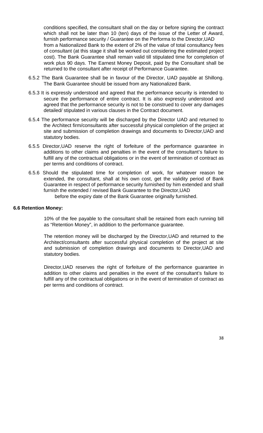conditions specified, the consultant shall on the day or before signing the contract which shall not be later than 10 (ten) days of the issue of the Letter of Award, furnish performance security / Guarantee on the Performa to the Director,UAD from a Nationalized Bank to the extent of 2% of the value of total consultancy fees of consultant (at this stage it shall be worked out considering the estimated project cost). The Bank Guarantee shall remain valid till stipulated time for completion of work plus 90 days. The Earnest Money Deposit, paid by the Consultant shall be returned to the consultant after receipt of Performance Guarantee.

- 6.5.2 The Bank Guarantee shall be in favour of the Director, UAD payable at Shillong. The Bank Guarantee should be issued from any Nationalized Bank.
- 6.5.3 It is expressly understood and agreed that the performance security is intended to secure the performance of entire contract. It is also expressly understood and agreed that the performance security is not to be construed to cover any damages detailed/ stipulated in various clauses in the Contract document.
- 6.5.4 The performance security will be discharged by the Director UAD and returned to the Architect firm/consultants after successful physical completion of the project at site and submission of completion drawings and documents to Director,UAD and statutory bodies.
- 6.5.5 Director,UAD reserve the right of forfeiture of the performance guarantee in additions to other claims and penalties in the event of the consultant's failure to fulfill any of the contractual obligations or in the event of termination of contract as per terms and conditions of contract.
- 6.5.6 Should the stipulated time for completion of work, for whatever reason be extended, the consultant, shall at his own cost, get the validity period of Bank Guarantee in respect of performance security furnished by him extended and shall furnish the extended / revised Bank Guarantee to the Director,UAD

#### before the expiry date of the Bank Guarantee originally furnished.

#### **6.6 Retention Money:**

10% of the fee payable to the consultant shall be retained from each running bill as "Retention Money", in addition to the performance guarantee.

The retention money will be discharged by the Director,UAD and returned to the Architect/consultants after successful physical completion of the project at site and submission of completion drawings and documents to Director,UAD and statutory bodies.

Director,UAD reserves the right of forfeiture of the performance guarantee in addition to other claims and penalties in the event of the consultant's failure to fulfill any of the contractual obligations or in the event of termination of contract as per terms and conditions of contract.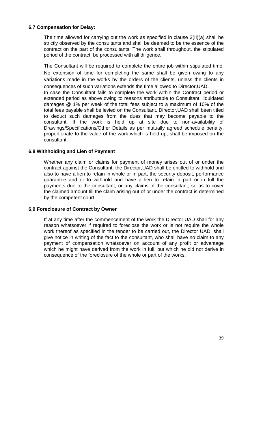#### **6.7 Compensation for Delay:**

The time allowed for carrying out the work as specified in clause 3(II)(a) shall be strictly observed by the consultants and shall be deemed to be the essence of the contract on the part of the consultants. The work shall throughout, the stipulated period of the contract, be processed with all diligence.

The Consultant will be required to complete the entire job within stipulated time. No extension of time for completing the same shall be given owing to any variations made in the works by the orders of the clients, unless the clients in consequences of such variations extends the time allowed to Director,UAD.

In case the Consultant fails to complete the work within the Contract period or extended period as above owing to reasons attributable to Consultant, liquidated damages @ 1% per week of the total fees subject to a maximum of 10% of the total fees payable shall be levied on the Consultant. Director,UAD shall been titled to deduct such damages from the dues that may become payable to the consultant. If the work is held up at site due to non-availability of Drawings/Specifications/Other Details as per mutually agreed schedule penalty, proportionate to the value of the work which is held up, shall be imposed on the consultant.

#### **6.8 Withholding and Lien of Payment**

Whether any claim or claims for payment of money arises out of or under the contract against the Consultant, the Director,UAD shall be entitled to withhold and also to have a lien to retain in whole or in part, the security deposit, performance guarantee and or to withhold and have a lien to retain in part or in full the payments due to the consultant, or any claims of the consultant, so as to cover the claimed amount till the claim arising out of or under the contract is determined by the competent court.

#### **6.9 Foreclosure of Contract by Owner**

If at any time after the commencement of the work the Director,UAD shall for any reason whatsoever if required to foreclose the work or is not require the whole work thereof as specified in the tender to be carried out, the Director UAD, shall give notice in writing of the fact to the consultant, who shall have no claim to any payment of compensation whatsoever on account of any profit or advantage which he might have derived from the work in full, but which he did not derive in consequence of the foreclosure of the whole or part of the works.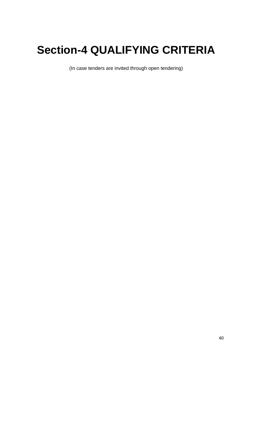# **Section-4 QUALIFYING CRITERIA**

(In case tenders are invited through open tendering)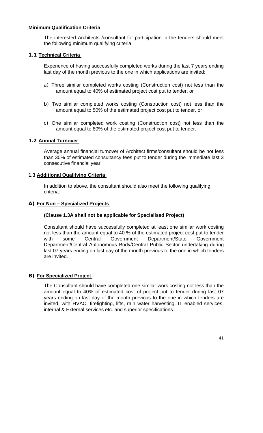#### **Minimum Qualification Criteria**

The interested Architects /consultant for participation in the tenders should meet the following minimum qualifying criteria:

#### **1.1 Technical Criteria**

Experience of having successfully completed works during the last 7 years ending last day of the month previous to the one in which applications are invited:

- a) Three similar completed works costing (Construction cost) not less than the amount equal to 40% of estimated project cost put to tender, or
- b) Two similar completed works costing (Construction cost) not less than the amount equal to 50% of the estimated project cost put to tender, or
- c) One similar completed work costing (Construction cost) not less than the amount equal to 80% of the estimated project cost put to tender.

#### **1.2 Annual Turnover**

Average annual financial turnover of Architect firms/consultant should be not less than 30% of estimated consultancy fees put to tender during the immediate last 3 consecutive financial year.

#### **1.3 Additional Qualifying Criteria**

In addition to above, the consultant should also meet the following qualifying criteria:

#### **A) For Non – Specialized Projects**

#### **(Clause 1.3A shall not be applicable for Specialised Project)**

Consultant should have successfully completed at least one similar work costing not less than the amount equal to 40 % of the estimated project cost put to tender with some Central Government Department/State Government Department/Central Autonomous Body/Central Public Sector undertaking during last 07 years ending on last day of the month previous to the one in which tenders are invited.

#### **B) For Specialized Project**

The Consultant should have completed one similar work costing not less than the amount equal to 40% of estimated cost of project put to tender during last 07 years ending on last day of the month previous to the one in which tenders are invited, with HVAC, firefighting, lifts, rain water harvesting, IT enabled services, internal & External services etc. and superior specifications.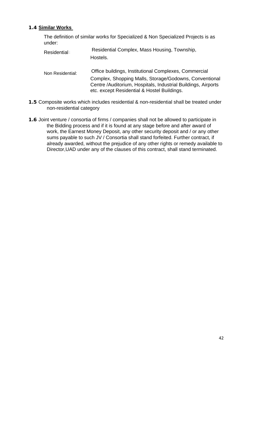#### **1.4 Similar Works**

The definition of similar works for Specialized & Non Specialized Projects is as under:

- Residential : Residential Complex, Mass Housing, Township, Hostels.
- Non Residential: Office buildings, Institutional Complexes, Commercial Complex, Shopping Malls, Storage/Godowns, Conventional Centre /Auditorium, Hospitals, Industrial Buildings, Airports etc. except Residential & Hostel Buildings.
- **1.5** Composite works which includes residential & non-residential shall be treated under non-residential category
- **1.6** Joint venture / consortia of firms / companies shall not be allowed to participate in the Bidding process and if it is found at any stage before and after award of work, the Earnest Money Deposit, any other security deposit and / or any other sums payable to such JV / Consortia shall stand forfeited. Further contract, if already awarded, without the prejudice of any other rights or remedy available to Director,UAD under any of the clauses of this contract, shall stand terminated.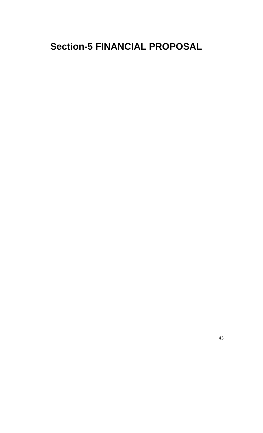# **Section-5 FINANCIAL PROPOSAL**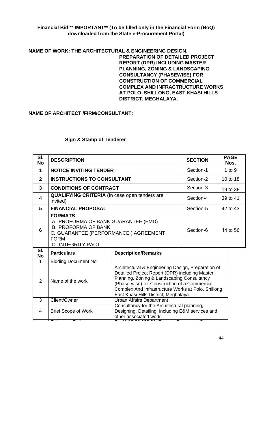#### **Financial Bid \*\* IMPORTANT\*\* (To be filled only in the Financial Form (BoQ) downloaded from the State e-Procurement Portal)**

**NAME OF WORK: THE ARCHITECTURAL & ENGINEERING DESIGN, PREPARATION OF DETAILED PROJECT REPORT (DPR) INCLUDING MASTER PLANNING, ZONING & LANDSCAPING CONSULTANCY (PHASEWISE) FOR CONSTRUCTION OF COMMERCIAL COMPLEX AND INFRACTRUCTURE WORKS AT POLO, SHILLONG, EAST KHASI HILLS DISTRICT, MEGHALAYA.** 

**NAME OF ARCHITECT /FIRM/CONSULTANT:** 

#### **Sign & Stamp of Tenderer**

| SI.<br><b>No</b> | <b>DESCRIPTION</b>                                                                                                                                                     |                                                                                                                                                                                                                                                                                                     | <b>SECTION</b> | <b>PAGE</b><br>Nos. |  |
|------------------|------------------------------------------------------------------------------------------------------------------------------------------------------------------------|-----------------------------------------------------------------------------------------------------------------------------------------------------------------------------------------------------------------------------------------------------------------------------------------------------|----------------|---------------------|--|
| 1                | <b>NOTICE INVITING TENDER</b>                                                                                                                                          |                                                                                                                                                                                                                                                                                                     | Section-1      | 1 to $9$            |  |
| $\overline{2}$   | <b>INSTRUCTIONS TO CONSULTANT</b>                                                                                                                                      |                                                                                                                                                                                                                                                                                                     | Section-2      | 10 to 18            |  |
| 3                | <b>CONDITIONS OF CONTRACT</b>                                                                                                                                          |                                                                                                                                                                                                                                                                                                     | Section-3      | 19 to 38            |  |
| 4                | <b>QUALIFYING CRITERIA</b> (In case open tenders are<br>invited)                                                                                                       |                                                                                                                                                                                                                                                                                                     | Section-4      | 39 to 41            |  |
| 5                | <b>FINANCIAL PROPOSAL</b>                                                                                                                                              |                                                                                                                                                                                                                                                                                                     | Section-5      | 42 to 43            |  |
| 6                | <b>FORMATS</b><br>A. PROFORMA OF BANK GUARANTEE (EMD)<br><b>B. PROFORMA OF BANK</b><br>C. GUARANTEE (PERFORMANCE) AGREEMENT<br><b>FORM</b><br><b>D. INTEGRITY PACT</b> |                                                                                                                                                                                                                                                                                                     | Section-6      | 44 to 56            |  |
| SI.<br><b>No</b> | <b>Particulars</b>                                                                                                                                                     | <b>Description/Remarks</b>                                                                                                                                                                                                                                                                          |                |                     |  |
| $\mathbf 1$      | <b>Bidding Document No.</b>                                                                                                                                            |                                                                                                                                                                                                                                                                                                     |                |                     |  |
| 2                | Name of the work                                                                                                                                                       | Architectural & Engineering Design, Preparation of<br>Detailed Project Report (DPR) including Master<br>Planning, Zoning & Landscaping Consultancy<br>(Phase-wise) for Construction of a Commercial<br>Complex And Infrastructure Works at Polo, Shillong,<br>East Khasi Hills District, Meghalaya. |                |                     |  |
| 3                | Client/Owner                                                                                                                                                           | <b>Urban Affairs Department</b>                                                                                                                                                                                                                                                                     |                |                     |  |
| 4                | <b>Brief Scope of Work</b>                                                                                                                                             | Consultancy for the Architectural planning,<br>Designing, Detailing, including E&M services and<br>other associated work.                                                                                                                                                                           |                |                     |  |

t t t t t

E ti d P j R 42 80 80 000 00 (R F C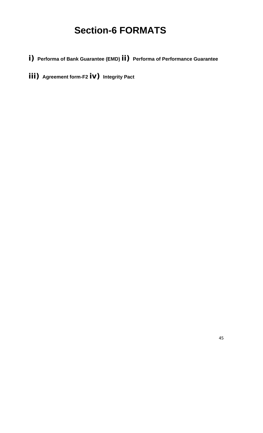# **Section-6 FORMATS**

- **i) Performa of Bank Guarantee (EMD) ii) Performa of Performance Guarantee**
- **iii) Agreement form-F2 iv) Integrity Pact**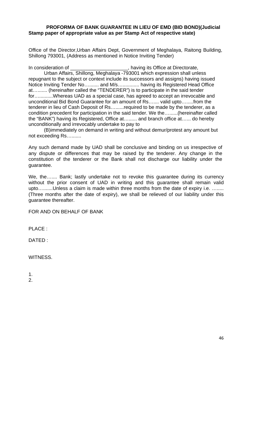#### **PROFORMA OF BANK GUARANTEE IN LIEU OF EMD (BID BOND)(Judicial Stamp paper of appropriate value as per Stamp Act of respective state)**

Office of the Director,Urban Affairs Dept, Government of Meghalaya, Raitong Building, Shillong 793001, (Address as mentioned in Notice Inviting Tender)

In consideration of \_\_\_\_\_\_\_\_\_\_\_\_\_\_\_\_\_\_\_, having its Office at Directorate, Urban Affairs, Shillong, Meghalaya -793001 which expression shall unless repugnant to the subject or context include its successors and assigns) having issued Notice Inviting Tender No…....... and M/s…............ having its Registered Head Office at…....... (hereinafter called the "TENDERER") is to participate in the said tender for…..........Whereas UAD as a special case, has agreed to accept an irrevocable and unconditional Bid Bond Guarantee for an amount of Rs….... valid upto….....from the tenderer in lieu of Cash Deposit of Rs.........required to be made by the tenderer, as a condition precedent for participation in the said tender. We the…......(hereinafter called the "BANK") having its Registered, Office at…...... and branch office at…... do hereby unconditionally and irrevocably undertake to pay to

(B)immediately on demand in writing and without demur/protest any amount but not exceeding Rs….......

Any such demand made by UAD shall be conclusive and binding on us irrespective of any dispute or differences that may be raised by the tenderer. Any change in the constitution of the tenderer or the Bank shall not discharge our liability under the guarantee.

We, the….... Bank; lastly undertake not to revoke this guarantee during its currency without the prior consent of UAD in writing and this guarantee shall remain valid upto….......Unless a claim is made within three months from the date of expiry i.e. …..... (Three months after the date of expiry), we shall be relieved of our liability under this guarantee thereafter.

FOR AND ON BEHALF OF BANK

PLACE :

DATED :

WITNESS.

1.  $\mathcal{P}$ 

46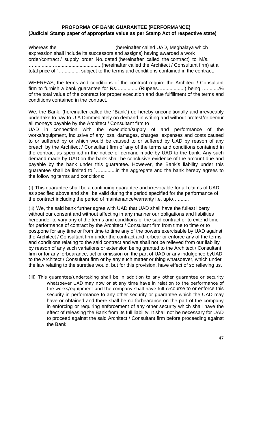#### **PROFORMA OF BANK GUARANTEE (PERFORMANCE) (Judicial Stamp paper of appropriate value as per Stamp Act of respective state)**

Whereas the **EXEC EXECUTE:** (hereinafter called UAD, Meghalaya which expression shall include its successors and assigns) having awarded a work order/contract / supply order No. dated (hereinafter called the contract) to M/s. …..............…................................(hereinafter called the Architect / Consultant firm) at a total price of `…............ subject to the terms and conditions contained in the contract.

WHEREAS, the terms and conditions of the contract require the Architect / Consultant firm to furnish a bank guarantee for Rs…............. (Rupees….................) being …..........% of the total value of the contract for proper execution and due fulfillment of the terms and conditions contained in the contract.

We, the Bank, (hereinafter called the "Bank") do hereby unconditionally and irrevocably undertake to pay to U.A.Dimmediately on demand in writing and without protest/or demur all moneys payable by the Architect / Consultant firm to

UAD in connection with the execution/supply of and performance of the works/equipment, inclusive of any loss, damages, charges, expenses and costs caused to or suffered by or which would be caused to or suffered by UAD by reason of any breach by the Architect / Consultant firm of any of the terms and conditions contained in the contract as specified in the notice of demand made by UAD to the bank. Any such demand made by UAD.on the bank shall be conclusive evidence of the amount due and payable by the bank under this guarantee. However, the Bank's liability under this guarantee shall be limited to `…...........in the aggregate and the bank hereby agrees to the following terms and conditions:

(i) This guarantee shall be a continuing guarantee and irrevocable for all claims of UAD as specified above and shall be valid during the period specified for the performance of the contract including the period of maintenance/warranty i.e. upto…........

(ii) We, the said bank further agree with UAD that UAD shall have the fullest liberty without our consent and without affecting in any manner our obligations and liabilities hereunder to vary any of the terms and conditions of the said contract or to extend time for performance of contract by the Architect / Consultant firm from time to time or to postpone for any time or from time to time any of the powers exercisable by UAD against the Architect / Consultant firm under the contract and forbear or enforce any of the terms and conditions relating to the said contract and we shall not be relieved from our liability by reason of any such variations or extension being granted to the Architect / Consultant firm or for any forbearance, act or omission on the part of UAD or any indulgence byUAD to the Architect / Consultant firm or by any such matter or thing whatsoever, which under the law relating to the sureties would, but for this provision, have effect of so relieving us.

(iii) This guarantee/undertaking shall be in addition to any other guarantee or security whatsoever UAD may now or at any time have in relation to the performance of the works/equipment and the company shall have full recourse to or enforce this security in performance to any other security or guarantee which the UAD may have or obtained and there shall be no forbearance on the part of the company in enforcing or requiring enforcement of any other security which shall have the effect of releasing the Bank from its full liability. It shall not be necessary for UAD to proceed against the said Architect / Consultant firm before proceeding against the Bank.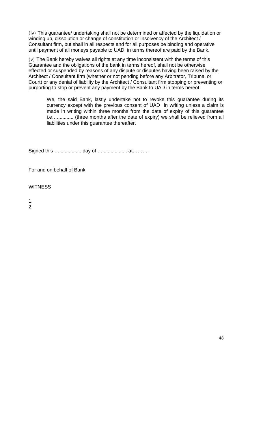(iv) This guarantee/ undertaking shall not be determined or affected by the liquidation or winding up, dissolution or change of constitution or insolvency of the Architect / Consultant firm, but shall in all respects and for all purposes be binding and operative until payment of all moneys payable to UAD in terms thereof are paid by the Bank.

(v) The Bank hereby waives all rights at any time inconsistent with the terms of this Guarantee and the obligations of the bank in terms hereof, shall not be otherwise effected or suspended by reasons of any dispute or disputes having been raised by the Architect / Consultant firm (whether or not pending before any Arbitrator, Tribunal or Court) or any denial of liability by the Architect / Consultant firm stopping or preventing or purporting to stop or prevent any payment by the Bank to UAD in terms hereof.

We, the said Bank, lastly undertake not to revoke this guarantee during its currency except with the previous consent of UAD in writing unless a claim is made in writing within three months from the date of expiry of this guarantee i.e…............ (three months after the date of expiry) we shall be relieved from all liabilities under this guarantee thereafter.

Signed this …..................... day of ….................... at…........

For and on behalf of Bank

**WITNESS** 

1.

2.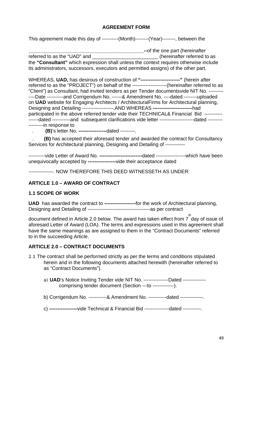#### **AGREEMENT FORM**

This agreement made this day of ----------(Month)--------(Year)--------, between the

**\_\_\_\_\_\_\_\_\_\_\_\_\_\_\_\_\_\_\_\_\_\_\_\_\_\_\_\_\_\_\_\_\_\_\_\_\_\_\_\_\_\_--**of the one part (hereinafter referred to as the "UAD" and \_\_\_\_\_\_\_\_\_\_\_\_\_\_\_\_\_\_\_\_\_\_\_\_\_(hereinafter referred to as the **"Consultant"** which expression shall unless the context requires otherwise include its administrators, successors, executors and permitted assigns) of the other part.

WHEREAS, **UAD,** has desirous of construction of **"------------------------"** (herein after referred to as the "PROJECT") on behalf of the ---------------------(hereinafter referred to as "Client") as Consultant, had invited tenders as per Tender documentsvide NIT No. --------- ----Date ----------and Corrigendum No. ------& Amendment No. ----dated --------uploaded on **UAD** website for Engaging Architects / ArchitecturalFirms for Architectural planning, Designing and Detailing -------------------.AND WHEREAS **------------------------**had participated in the above referred tender vide their TECHNICAL& Financial Bid ----------- ------dated -----------and subsequent clarifications vide letter -----------------------dated ------------------in response to

. **(B)**'s letter No. **-----------------**dated ---------.

. **(B)** has accepted their aforesaid tender and awarded the contract for Consultancy Services for Architectural planning, Designing and Detailing of ------------

----------vide Letter of Award No. **--------------------------**dated ------------------which have been unequivocally accepted by **-----------------**vide their acceptance dated

---------------. NOW THEREFORE THIS DEED WITNESSETH AS UNDER:

#### **ARTICLE 1.0 – AWARD OF CONTRACT**

#### **1.1 SCOPE OF WORK**

**UAD** has awarded the contract to **-------------------**for the work of Architectural planning, Designing and Detailing of --------------------------------------as per contract

document defined in Article 2.0 below. The award has taken effect from 7<sup>th</sup> day of issue of aforesaid Letter of Award (LOA). The terms and expressions used in this agreement shall have the same meanings as are assigned to them in the "Contract Documents" referred to in the succeeding Article.

#### **ARTICLE 2.0 – CONTRACT DOCUMENTS**

- 2.1 The contract shall be performed strictly as per the terms and conditions stipulated herein and in the following documents attached herewith (hereinafter referred to as "Contract Documents").
	- a) **UAD**'s Notice Inviting Tender vide NIT No. ---------------Dated ------------- comprising tender document (Section ---to -------------).
	- b) Corrigendum No. -----------& Amendment No. -----------dated --------------.
	- c) **-----------------**vide Technical & Financial Bid ---------------dated -----------.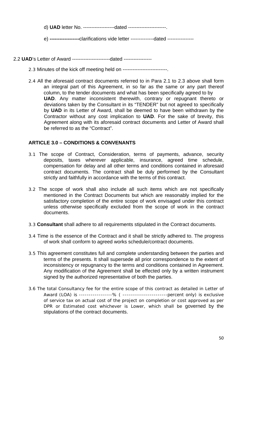d) **UAD** letter No. -------------------dated -----------------------.

e) **------------------**clarifications vide letter --------------dated ----------------

2.2 **UAD**'s Letter of Award -----------------------dated -----------------

- 2.3 Minutes of the kick off meeting held on ---------------------------.
- 2.4 All the aforesaid contract documents referred to in Para 2.1 to 2.3 above shall form an integral part of this Agreement, in so far as the same or any part thereof column, to the tender documents and what has been specifically agreed to by **UAD**. Any matter inconsistent therewith, contrary or repugnant thereto or deviations taken by the Consultant in its "TENDER" but not agreed to specifically by **UAD** in its Letter of Award, shall be deemed to have been withdrawn by the Contractor without any cost implication to **UAD**. For the sake of brevity, this Agreement along with its aforesaid contract documents and Letter of Award shall be referred to as the "Contract".

#### **ARTICLE 3.0 – CONDITIONS & CONVENANTS**

- 3.1 The scope of Contract, Consideration, terms of payments, advance, security deposits, taxes wherever applicable, insurance, agreed time schedule, compensation for delay and all other terms and conditions contained in aforesaid contract documents. The contract shall be duly performed by the Consultant strictly and faithfully in accordance with the terms of this contract.
- 3.2 The scope of work shall also include all such items which are not specifically mentioned in the Contract Documents but which are reasonably implied for the satisfactory completion of the entire scope of work envisaged under this contract unless otherwise specifically excluded from the scope of work in the contract documents.
- 3.3 **Consultant** shall adhere to all requirements stipulated in the Contract documents.
- 3.4 Time is the essence of the Contract and it shall be strictly adhered to. The progress of work shall conform to agreed works schedule/contract documents.
- 3.5 This agreement constitutes full and complete understanding between the parties and terms of the presents. It shall supersede all prior correspondence to the extent of inconsistency or repugnancy to the terms and conditions contained in Agreement. Any modification of the Agreement shall be effected only by a written instrument signed by the authorized representative of both the parties.
- 3.6 The total Consultancy fee for the entire scope of this contract as detailed in Letter of Award (LOA) is -----------------% ( -----------------------percent only) is exclusive of service tax on actual cost of the project on completion or cost approved as per DPR or Estimated cost whichever is Lower, which shall be governed by the stipulations of the contract documents.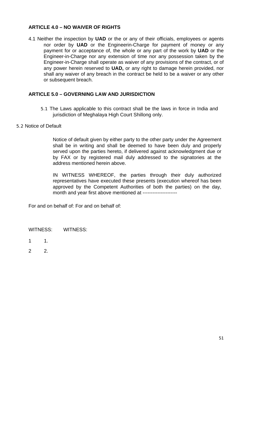#### **ARTICLE 4.0 – NO WAIVER OF RIGHTS**

4.1 Neither the inspection by **UAD** or the or any of their officials, employees or agents nor order by **UAD** or the Engineerin-Charge for payment of money or any payment for or acceptance of, the whole or any part of the work by **UAD** or the Engineer-in-Charge nor any extension of time nor any possession taken by the Engineer-in-Charge shall operate as waiver of any provisions of the contract, or of any power herein reserved to **UAD,** or any right to damage herein provided, nor shall any waiver of any breach in the contract be held to be a waiver or any other or subsequent breach.

#### **ARTICLE 5.0 – GOVERNING LAW AND JURISDICTION**

- 5.1 The Laws applicable to this contract shall be the laws in force in India and jurisdiction of Meghalaya High Court Shillong only.
- 5.2 Notice of Default

Notice of default given by either party to the other party under the Agreement shall be in writing and shall be deemed to have been duly and properly served upon the parties hereto, if delivered against acknowledgment due or by FAX or by registered mail duly addressed to the signatories at the address mentioned herein above.

IN WITNESS WHEREOF, the parties through their duly authorized representatives have executed these presents (execution whereof has been approved by the Competent Authorities of both the parties) on the day, month and year first above mentioned at ---------------------

For and on behalf of: For and on behalf of:

WITNESS: WITNESS:

- 1 1.
- 2 2.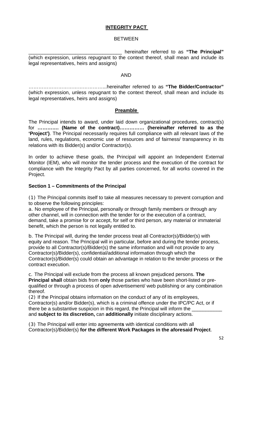#### **INTEGRITY PACT**

#### BETWEEN

hereinafter referred to as "The Principal" (which expression, unless repugnant to the context thereof, shall mean and include its legal representatives, heirs and assigns)

#### AND

………………………………………...hereinafter referred to as **"The Bidder/Contractor"**  (which expression, unless repugnant to the context thereof, shall mean and include its legal representatives, heirs and assigns)

#### **Preamble**

The Principal intends to award, under laid down organizational procedures, contract(s) for **…………. (Name of the contract)…………… (hereinafter referred to as the 'Project')**. The Principal necessarily requires full compliance with all relevant laws of the land, rules, regulations, economic use of resources and of fairness/ transparency in its relations with its Bidder(s) and/or Contractor(s).

In order to achieve these goals, the Principal will appoint an Independent External Monitor (IEM), who will monitor the tender process and the execution of the contract for compliance with the Integrity Pact by all parties concerned, for all works covered in the Project.

#### **Section 1 – Commitments of the Principal**

(1) The Principal commits itself to take all measures necessary to prevent corruption and to observe the following principles:

a. No employee of the Principal, personally or through family members or through any other channel, will in connection with the tender for or the execution of a contract, demand, take a promise for or accept, for self or third person, any material or immaterial benefit, which the person is not legally entitled to.

b. The Principal will, during the tender process treat all Contractor(s)/Bidder(s) with equity and reason. The Principal will in particular, before and during the tender process, provide to all Contractor(s)/Bidder(s) the same information and will not provide to any Contractor(s)/Bidder(s), confidential/additional information through which the Contractor(s)/Bidder(s) could obtain an advantage in relation to the tender process or the contract execution.

c. The Principal will exclude from the process all known prejudiced persons. **The Principal shall** obtain bids from **only** those parties who have been short-listed or prequalified or through a process of open advertisement/ web publishing or any combination thereof.

(2) If the Principal obtains information on the conduct of any of its employees, Contractor(s) and/or Bidder(s), which is a criminal offence under the IPC/PC Act, or if there be a substantive suspicion in this regard, the Principal will inform the and **subject to its discretion,** can **additionally** initiate disciplinary actions.

(3) The Principal will enter into agreement**s** with identical conditions with all Contractor(s)/Bidder(s) **for the different Work Packages in the aforesaid Project**.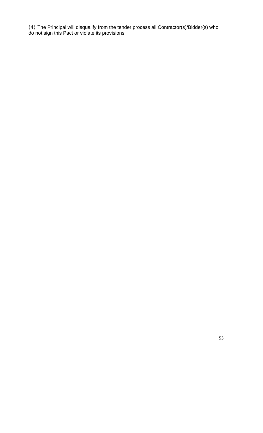(4) The Principal will disqualify from the tender process all Contractor(s)/Bidder(s) who do not sign this Pact or violate its provisions.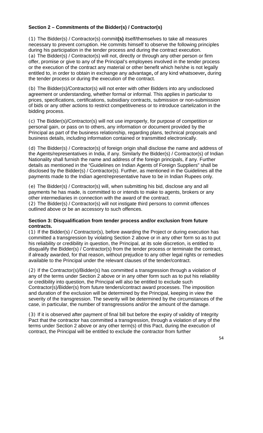#### **Section 2 – Commitments of the Bidder(s) / Contractor(s)**

(1) The Bidder(s) / Contractor(s) commit**(s)** itself/themselves to take all measures necessary to prevent corruption. He commits himself to observe the following principles during his participation in the tender process and during the contract execution. (a) The Bidder(s) / Contractor(s) will not, directly or through any other person or firm offer, promise or give to any of the Principal's employees involved in the tender process or the execution of the contract any material or other benefit which he/she is not legally entitled to, in order to obtain in exchange any advantage**,** of any kind whatsoever**,** during the tender process or during the execution of the contract.

(b) The Bidder(s)/Contractor(s) will not enter with other Bidders into any undisclosed agreement or understanding, whether formal or informal. This applies in particular to prices, specifications, certifications, subsidiary contracts, submission or non-submission of bids or any other actions to restrict competitiveness or to introduce cartelization in the bidding process.

(c) The Bidder(s)/Contractor(s) will not use improperly, for purpose of competition or personal gain, or pass on to others, any information or document provided by the Principal as part of the business relationship, regarding plans, technical proposals and business details, including information contained or transmitted electronically.

(d) The Bidder(s) / Contractor(s) of foreign origin shall disclose the name and address of the Agents/representatives in India, if any. Similarly the Bidder(s) / Contractor(s) of Indian Nationality shall furnish the name and address of the foreign principals, if any. Further details as mentioned in the "Guidelines on Indian Agents of Foreign Suppliers" shall be disclosed by the Bidder(s) / Contractor(s). Further, as mentioned in the Guidelines all the payments made to the Indian agent/representative have to be in Indian Rupees only.

(e) The Bidder(s) / Contractor(s) will, when submitting his bid, disclose any and all payments he has made, is committed to or intends to make to agents, brokers or any other intermediaries in connection with the award of the contract.

(2) The Bidder(s) / Contractor(s) will not instigate third persons to commit offences outlined above or be an accessory to such offences.

#### **Section 3: Disqualification from tender process and/or exclusion from future contracts.**

(1) If the Bidder(s) / Contractor(s), before awarding the Project or during execution has committed a transgression by violating Section 2 above or in any other form so as to put his reliability or credibility in question, the Principal, at its sole discretion, is entitled to disqualify the Bidder(s) / Contractor(s) from the tender process or terminate the contract, if already awarded, for that reason, without prejudice to any other legal rights or remedies available to the Principal under the relevant clauses of the tender/contract.

(2) If the Contractor(s)/Bidder(s) has committed a transgression through a violation of any of the terms under Section 2 above or in any other form such as to put his reliability or credibility into question, the Principal will also be entitled to exclude such Contractor(s)/Bidder(s) from future tenders/contract award processes. The imposition and duration of the exclusion will be determined by the Principal, keeping in view the severity of the transgression. The severity will be determined by the circumstances of the case, in particular, the number of transgressions and/or the amount of the damage.

(3) If it is observed after payment of final bill but before the expiry of validity of Integrity Pact that the contractor has committed a transgression, through a violation of any of the terms under Section 2 above or any other term(s) of this Pact, during the execution of contract, the Principal will be entitled to exclude the contractor from further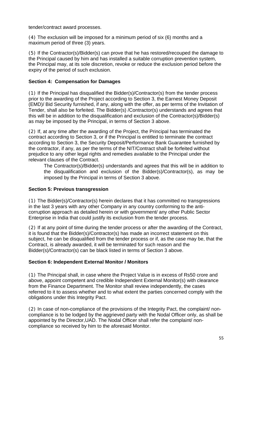tender/contract award processes.

(4) The exclusion will be imposed for a minimum period of six (6) months and a maximum period of three (3) years.

(5) If the Contractor(s)/Bidder(s) can prove that he has restored/recouped the damage to the Principal caused by him and has installed a suitable corruption prevention system, the Principal may, at its sole discretion, revoke or reduce the exclusion period before the expiry of the period of such exclusion.

#### **Section 4: Compensation for Damages**

(1) If the Principal has disqualified the Bidder(s)/Contractor(s) from the tender process prior to the awarding of the Project according to Section 3, the Earnest Money Deposit (EMD)/ Bid Security furnished, if any, along with the offer, as per terms of the Invitation of Tender, shall also be forfeited. The Bidder(s) /Contractor(s) understands and agrees that this will be in addition to the disqualification and exclusion of the Contractor(s)/Bidder(s) as may be imposed by the Principal, in terms of Section 3 above.

(2) If, at any time after the awarding of the Project, the Principal has terminated the contract according to Section 3, or if the Principal is entitled to terminate the contract according to Section 3, the Security Deposit/Performance Bank Guarantee furnished by the contractor, if any, as per the terms of the NIT/Contract shall be forfeited without prejudice to any other legal rights and remedies available to the Principal under the relevant clauses of the Contract.

The Contractor(s)/Bidder(s) understands and agrees that this will be in addition to the disqualification and exclusion of the Bidder(s)/Contractor(s), as may be imposed by the Principal in terms of Section 3 above.

#### **Section 5: Previous transgression**

(1) The Bidder(s)/Contractor(s) herein declares that it has committed no transgressions in the last 3 years with any other Company in any country conforming to the anticorruption approach as detailed herein or with government/ any other Public Sector Enterprise in India that could justify its exclusion from the tender process.

(2) If at any point of time during the tender process or after the awarding of the Contract, it is found that the Bidder(s)/Contractor(s) has made an incorrect statement on this subject, he can be disqualified from the tender process or if, as the case may be, that the Contract, is already awarded, it will be terminated for such reason and the Bidder(s)/Contractor(s) can be black listed in terms of Section 3 above.

#### **Section 6: Independent External Monitor / Monitors**

(1) The Principal shall, in case where the Project Value is in excess of Rs50 crore and above, appoint competent and credible Independent External Monitor(s) with clearance from the Finance Department. The Monitor shall review independently, the cases referred to it to assess whether and to what extent the parties concerned comply with the obligations under this Integrity Pact.

(2) In case of non-compliance of the provisions of the Integrity Pact, the complaint/ noncompliance is to be lodged by the aggrieved party with the Nodal Officer only, as shall be appointed by the Director,UAD. The Nodal Officer shall refer the complaint/ noncompliance so received by him to the aforesaid Monitor.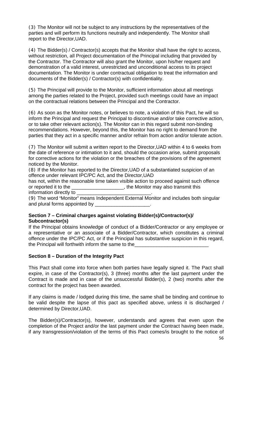(3) The Monitor will not be subject to any instructions by the representatives of the parties and will perform its functions neutrally and independently. The Monitor shall report to the Director,UAD.

(4) The Bidder(s) / Contractor(s) accepts that the Monitor shall have the right to access, without restriction, all Project documentation of the Principal including that provided by the Contractor. The Contractor will also grant the Monitor, upon his/her request and demonstration of a valid interest, unrestricted and unconditional access to its project documentation. The Monitor is under contractual obligation to treat the information and documents of the Bidder(s) / Contractor(s) with confidentiality.

(5) The Principal will provide to the Monitor, sufficient information about all meetings among the parties related to the Project, provided such meetings could have an impact on the contractual relations between the Principal and the Contractor.

(6) As soon as the Monitor notes, or believes to note, a violation of this Pact, he will so inform the Principal and request the Principal to discontinue and/or take corrective action, or to take other relevant action(s). The Monitor can in this regard submit non-binding recommendations. However, beyond this, the Monitor has no right to demand from the parties that they act in a specific manner and/or refrain from action and/or tolerate action.

(7) The Monitor will submit a written report to the Director,UAD within 4 to 6 weeks from the date of reference or intimation to it and, should the occasion arise, submit proposals for corrective actions for the violation or the breaches of the provisions of the agreement noticed by the Monitor.

(8) If the Monitor has reported to the Director,UAD of a substantiated suspicion of an offence under relevant IPC/PC Act, and the Director,UAD

has not, within the reasonable time taken visible action to proceed against such offence or reported it to the \_\_\_\_\_\_\_\_\_\_\_\_\_\_\_\_\_\_\_, the Monitor may also transmit this information directly to

(9) The word **'**Monitor**'** means Independent External Monitor and includes both singular and plural forms appointed by \_

#### **Section 7 – Criminal charges against violating Bidder(s)/Contractor(s)/ Subcontractor(s)**

If the Principal obtains knowledge of conduct of a Bidder/Contractor or any employee or a representative or an associate of a Bidder/Contractor, which constitutes a criminal offence under the IPC/PC Act, or if the Principal has substantive suspicion in this regard, the Principal will forthwith inform the same to the

#### **Section 8 – Duration of the Integrity Pact**

This Pact shall come into force when both parties have legally signed it. The Pact shall expire, in case of the Contractor(s), 3 (three) months after the last payment under the Contract is made and in case of the unsuccessful Bidder(s), 2 (two) months after the contract for the project has been awarded.

If any claims is made / lodged during this time, the same shall be binding and continue to be valid despite the lapse of this pact as specified above, unless it is discharged / determined by Director,UAD.

The Bidder(s)/Contractor(s), however, understands and agrees that even upon the completion of the Project and/or the last payment under the Contract having been made, if any transgression/violation of the terms of this Pact comes/is brought to the notice of 56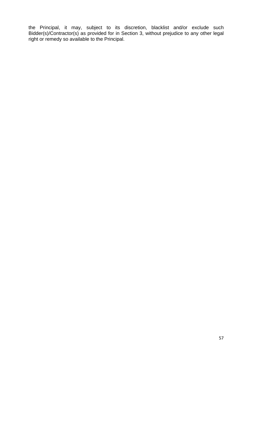the Principal, it may, subject to its discretion, blacklist and/or exclude such Bidder(s)/Contractor(s) as provided for in Section 3, without prejudice to any other legal right or remedy so available to the Principal.